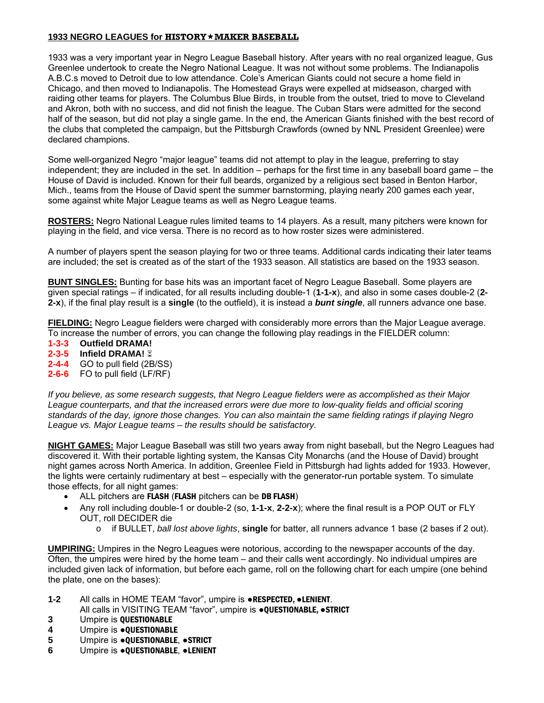## **1933 NEGRO LEAGUES for HISTORYMAKER BASEBALL**

1933 was a very important year in Negro League Baseball history. After years with no real organized league, Gus Greenlee undertook to create the Negro National League. It was not without some problems. The Indianapolis A.B.C.s moved to Detroit due to low attendance. Cole's American Giants could not secure a home field in Chicago, and then moved to Indianapolis. The Homestead Grays were expelled at midseason, charged with raiding other teams for players. The Columbus Blue Birds, in trouble from the outset, tried to move to Cleveland and Akron, both with no success, and did not finish the league. The Cuban Stars were admitted for the second half of the season, but did not play a single game. In the end, the American Giants finished with the best record of the clubs that completed the campaign, but the Pittsburgh Crawfords (owned by NNL President Greenlee) were declared champions.

Some well-organized Negro "major league" teams did not attempt to play in the league, preferring to stay independent; they are included in the set. In addition – perhaps for the first time in any baseball board game – the House of David is included. Known for their full beards, organized by a religious sect based in Benton Harbor, Mich., teams from the House of David spent the summer barnstorming, playing nearly 200 games each year, some against white Major League teams as well as Negro League teams.

**ROSTERS:** Negro National League rules limited teams to 14 players. As a result, many pitchers were known for playing in the field, and vice versa. There is no record as to how roster sizes were administered.

A number of players spent the season playing for two or three teams. Additional cards indicating their later teams are included; the set is created as of the start of the 1933 season. All statistics are based on the 1933 season.

**BUNT SINGLES:** Bunting for base hits was an important facet of Negro League Baseball. Some players are given special ratings – if indicated, for all results including double-1 (**1-1-x**), and also in some cases double-2 (**2- 2-x**), if the final play result is a **single** (to the outfield), it is instead a *bunt single*, all runners advance one base.

**FIELDING:** Negro League fielders were charged with considerably more errors than the Major League average. To increase the number of errors, you can change the following play readings in the FIELDER column:

- **1-3-3 Outfield DRAMA!**
- **2-3-5 Infield DRAMA!**
- **2-4-4** GO to pull field (2B/SS)
- **2-6-6** FO to pull field (LF/RF)

*If you believe, as some research suggests, that Negro League fielders were as accomplished as their Major League counterparts, and that the increased errors were due more to low-quality fields and official scoring standards of the day, ignore those changes. You can also maintain the same fielding ratings if playing Negro League vs. Major League teams – the results should be satisfactory.* 

**NIGHT GAMES:** Major League Baseball was still two years away from night baseball, but the Negro Leagues had discovered it. With their portable lighting system, the Kansas City Monarchs (and the House of David) brought night games across North America. In addition, Greenlee Field in Pittsburgh had lights added for 1933. However, the lights were certainly rudimentary at best – especially with the generator-run portable system. To simulate those effects, for all night games:

- ALL pitchers are FLASH (FLASH pitchers can be DB FLASH)
- Any roll including double-1 or double-2 (so, **1-1-x**, **2-2-x**); where the final result is a POP OUT or FLY OUT, roll DECIDER die
	- o if BULLET, *ball lost above lights*, **single** for batter, all runners advance 1 base (2 bases if 2 out).

**UMPIRING:** Umpires in the Negro Leagues were notorious, according to the newspaper accounts of the day. Often, the umpires were hired by the home team – and their calls went accordingly. No individual umpires are included given lack of information, but before each game, roll on the following chart for each umpire (one behind the plate, one on the bases):

- **1-2** All calls in HOME TEAM "favor", umpire is ●RESPECTED, ●LENIENT.
- All calls in VISITING TEAM "favor", umpire is ●QUESTIONABLE, ●STRICT
- **3** Umpire is QUESTIONABLE
- **4** Umpire is ●QUESTIONABLE<br>5 Umpire is ●QUESTIONABLE.
- **Umpire is ●QUESTIONABLE, ●STRICT**
- **6** Umpire is ●QUESTIONABLE, ●LENIENT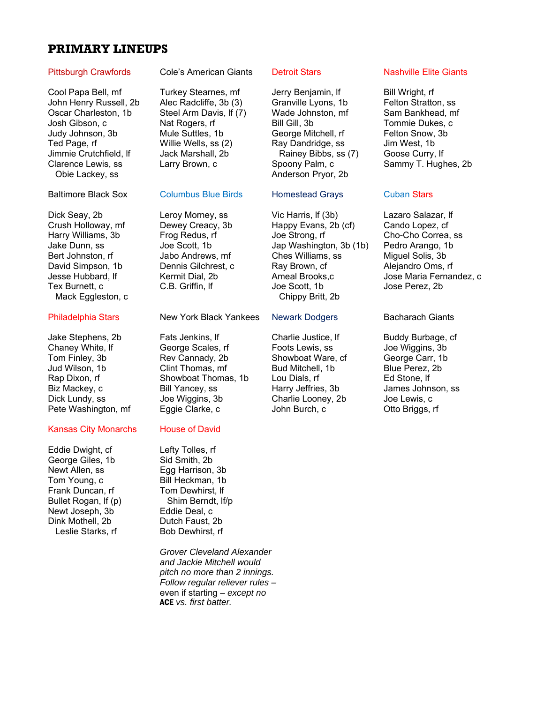# **PRIMARY LINEUPS**

Cool Papa Bell, mf Turkey Stearnes, mf Jerry Benjamin, If Bill Wright, rf John Henry Russell, 2b Alec Radcliffe, 3b Ganville Lyons, 1b Felton Stratton, ss John Henry Russell, 2b Alec Radcliffe, 3b (3) Oscar Charleston, 1b Steel Arm Davis, lf (7) Wade Johnston, mf Sam Bankhead, mf Josh Gibson, c Nat Rogers, rf Bill Gill, 3b Tommie Dukes, c Judy Johnson, 3b Mule Suttles, 1b George Mitchell, rf Felton Snow, 3b Ted Page, rf **Example 20 Willie Wells, ss (2)** Ray Dandridge, ss a Lim West, 1b Jimmie Crutchfield, lf Jack Marshall, 2b Rainey Bibbs, ss (7) Goose Curry, lf Clarence Lewis, ss Larry Brown, c Spoony Palm, c Sammy T. Hughes, 2b Obie Lackey, ss Anderson Pryor, 2b

Mack Eggleston, c Chippy Britt, 2b

Jake Stephens, 2b Fats Jenkins, If Charlie Justice, If Buddy Burbage, cf Pete Washington, mf Eggie Clarke, c John Burch, c Ctto Briggs, rf

## Kansas City Monarchs House of David

Eddie Dwight, cf Lefty Tolles, rf George Giles, 1b Sid Smith, 2b<br>
Newt Allen, ss **Egg Harrison**, Tom Young, c Bill Heckman, 1b Frank Duncan, rf Tom Dewhirst, If Bullet Rogan, If (p) Shim Berndt, If/p Newt Joseph, 3b Eddie Deal, c Dink Mothell, 2b Dutch Faust, 2b

Pittsburgh Crawfords Cole's American Giants Detroit Stars Nashville Elite Giants

### Baltimore Black Sox Columbus Blue Birds Homestead Grays Cuban Stars

## Philadelphia Stars New York Black Yankees Newark Dodgers Bacharach Giants

Chaney White, If George Scales, rf Foots Lewis, ss Joe Wiggins, 3b Tom Finley, 3b **Rev Cannady, 2b** Showboat Ware, cf George Carr, 1b Jud Wilson, 1b **Clint Thomas, mf** Bud Mitchell, 1b Blue Perez, 2b Rap Dixon, rf **Showboat Thomas, 1b** Lou Dials, rf **Ed Stone**, If Biz Mackey, c Bill Yancey, ss Harry Jeffries, 3b James Johnson, ss Dick Lundy, ss Joe Wiggins, 3b Charlie Looney, 2b Joe Lewis, c

Egg Harrison, 3b Leslie Starks, rf Bob Dewhirst, rf

> *Grover Cleveland Alexander and Jackie Mitchell would pitch no more than 2 innings. Follow regular reliever rules –*  even if starting – *except no* ACE *vs. first batter.*

Dick Seay, 2b Leroy Morney, ss Vic Harris, lf (3b) Lazaro Salazar, lf Crush Holloway, mf Dewey Creacy, 3b Happy Evans, 2b (cf) Cando Lopez, cf Harry Williams, 3b Frog Redus, rf Joe Strong, rf Cho-Cho Correa, ss Jake Dunn, ss Joe Scott, 1b Jap Washington, 3b (1b) Pedro Arango, 1b Bert Johnston, rf and Jabo Andrews, mf Ches Williams, ss Miguel Solis, 3b David Simpson, 1b Dennis Gilchrest, c Ray Brown, cf Alejandro Oms, rf Jesse Hubbard, lf Kermit Dial, 2b Ameal Brooks,c Jose Maria Fernandez, c Tex Burnett, c C.B. Griffin, lf Joe Scott, 1b Jose Perez, 2b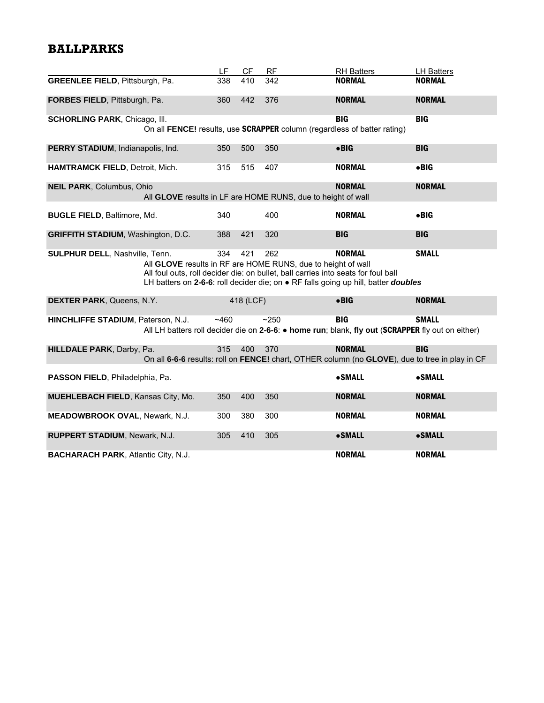# **BALLPARKS**

|                                            | LF.   | CF        | RF                                                                                                                                                       | RH Batters                                                                                                      | <b>LH Batters</b> |
|--------------------------------------------|-------|-----------|----------------------------------------------------------------------------------------------------------------------------------------------------------|-----------------------------------------------------------------------------------------------------------------|-------------------|
| <b>GREENLEE FIELD, Pittsburgh, Pa.</b>     | 338   | 410       | 342                                                                                                                                                      | <b>NORMAL</b>                                                                                                   | <b>NORMAL</b>     |
| FORBES FIELD, Pittsburgh, Pa.              | 360   | 442       | 376                                                                                                                                                      | <b>NORMAL</b>                                                                                                   | <b>NORMAL</b>     |
| <b>SCHORLING PARK, Chicago, III.</b>       |       |           |                                                                                                                                                          | <b>BIG</b><br>On all FENCE! results, use SCRAPPER column (regardless of batter rating)                          | <b>BIG</b>        |
| PERRY STADIUM, Indianapolis, Ind.          | 350   | 500       | 350                                                                                                                                                      | $\bullet$ BIG                                                                                                   | <b>BIG</b>        |
| HAMTRAMCK FIELD, Detroit, Mich.            | 315   | 515       | 407                                                                                                                                                      | <b>NORMAL</b>                                                                                                   | $\bullet$ BIG     |
| <b>NEIL PARK, Columbus, Ohio</b>           |       |           | All GLOVE results in LF are HOME RUNS, due to height of wall                                                                                             | <b>NORMAL</b>                                                                                                   | <b>NORMAL</b>     |
| <b>BUGLE FIELD, Baltimore, Md.</b>         | 340   |           | 400                                                                                                                                                      | <b>NORMAL</b>                                                                                                   | $\bullet$ BIG     |
| <b>GRIFFITH STADIUM, Washington, D.C.</b>  | 388   | 421       | 320                                                                                                                                                      | <b>BIG</b>                                                                                                      | <b>BIG</b>        |
| <b>SULPHUR DELL, Nashville, Tenn.</b>      | 334   | 421       | 262<br>All GLOVE results in RF are HOME RUNS, due to height of wall<br>All foul outs, roll decider die: on bullet, ball carries into seats for foul ball | <b>NORMAL</b><br>LH batters on 2-6-6: roll decider die; on . RF falls going up hill, batter doubles             | <b>SMALL</b>      |
| DEXTER PARK, Queens, N.Y.                  |       | 418 (LCF) |                                                                                                                                                          | $\bullet$ BIG                                                                                                   | <b>NORMAL</b>     |
| HINCHLIFFE STADIUM, Paterson, N.J.         | ~1460 |           | ~250                                                                                                                                                     | <b>BIG</b><br>All LH batters roll decider die on 2-6-6: • home run; blank, fly out (SCRAPPER fly out on either) | <b>SMALL</b>      |
| <b>HILLDALE PARK, Darby, Pa.</b>           | 315   | 400       | 370                                                                                                                                                      | <b>NORMAL</b><br>On all 6-6-6 results: roll on FENCE! chart, OTHER column (no GLOVE), due to tree in play in CF | <b>BIG</b>        |
| PASSON FIELD, Philadelphia, Pa.            |       |           |                                                                                                                                                          | <b>•SMALL</b>                                                                                                   | <b>•SMALL</b>     |
| <b>MUEHLEBACH FIELD, Kansas City, Mo.</b>  | 350   | 400       | 350                                                                                                                                                      | <b>NORMAL</b>                                                                                                   | <b>NORMAL</b>     |
| MEADOWBROOK OVAL, Newark, N.J.             | 300   | 380       | 300                                                                                                                                                      | <b>NORMAL</b>                                                                                                   | <b>NORMAL</b>     |
| <b>RUPPERT STADIUM, Newark, N.J.</b>       | 305   | 410       | 305                                                                                                                                                      | <b>•SMALL</b>                                                                                                   | <b>•SMALL</b>     |
| <b>BACHARACH PARK, Atlantic City, N.J.</b> |       |           |                                                                                                                                                          | <b>NORMAL</b>                                                                                                   | <b>NORMAL</b>     |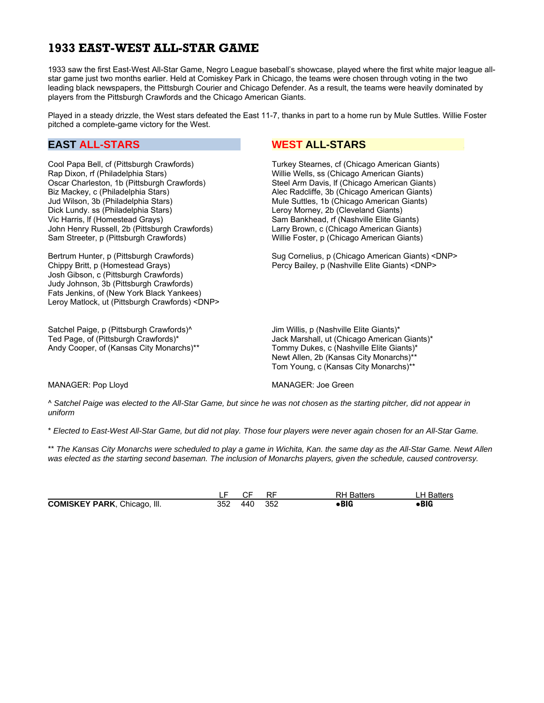# **1933 EAST-WEST ALL-STAR GAME**

1933 saw the first East-West All-Star Game, Negro League baseball's showcase, played where the first white major league allstar game just two months earlier. Held at Comiskey Park in Chicago, the teams were chosen through voting in the two leading black newspapers, the Pittsburgh Courier and Chicago Defender. As a result, the teams were heavily dominated by players from the Pittsburgh Crawfords and the Chicago American Giants.

Played in a steady drizzle, the West stars defeated the East 11-7, thanks in part to a home run by Mule Suttles. Willie Foster pitched a complete-game victory for the West.

Cool Papa Bell, cf (Pittsburgh Crawfords) Turkey Stearnes, cf (Chicago American Giants) Rap Dixon, rf (Philadelphia Stars) Willie Wells, ss (Chicago American Giants) Oscar Charleston, 1b (Pittsburgh Crawfords) Steel Arm Davis, lf (Chicago American Giants) Biz Mackey, c (Philadelphia Stars) Alec Radcliffe, 3b (Chicago American Giants) Jud Wilson, 3b (Philadelphia Stars) Mule Suttles, 1b (Chicago American Giants) Dick Lundy. ss (Philadelphia Stars) Leroy Morney, 2b (Cleveland Giants) Vic Harris, If (Homestead Grays) Sam Bankhead, rf (Nashville Elite Giants)<br>John Henry Russell, 2b (Pittsburgh Crawfords) Larry Brown, c (Chicago American Giants) John Henry Russell, 2b (Pittsburgh Crawfords)<br>Sam Streeter, p (Pittsburgh Crawfords)

Chippy Britt, p (Homestead Grays) Percy Bailey, p (Nashville Elite Giants) <DNP> Josh Gibson, c (Pittsburgh Crawfords) Judy Johnson, 3b (Pittsburgh Crawfords) Fats Jenkins, of (New York Black Yankees) Leroy Matlock, ut (Pittsburgh Crawfords) <DNP>

Satchel Paige, p (Pittsburgh Crawfords)<sup>^</sup> Jim Willis, p (Nashville Elite Giants)<sup>\*</sup> Andy Cooper, of (Kansas City Monarchs)\*\* Tommy Dukes, c (Nashville Elite Giants)\*

## **EAST ALL-STARS WEST ALL-STARS .**

Willie Foster, p (Chicago American Giants)

Bertrum Hunter, p (Pittsburgh Crawfords) Sug Cornelius, p (Chicago American Giants) <DNP>

Ted Page, of (Pittsburgh Crawfords)\* Jack Marshall, ut (Chicago American Giants)\* Newt Allen, 2b (Kansas City Monarchs)\*\* Tom Young, c (Kansas City Monarchs)\*\*

### MANAGER: Pop Lloyd **MANAGER: Joe Green**

^ *Satchel Paige was elected to the All-Star Game, but since he was not chosen as the starting pitcher, did not appear in uniform* 

\* *Elected to East-West All-Star Game, but did not play. Those four players were never again chosen for an All-Star Game.*

\*\* *The Kansas City Monarchs were scheduled to play a game in Wichita, Kan. the same day as the All-Star Game. Newt Allen was elected as the starting second baseman. The inclusion of Monarchs players, given the schedule, caused controversy.* 

|                                     |             | <b>RH Batters</b> | LH Batters |
|-------------------------------------|-------------|-------------------|------------|
| <b>COMISKEY PARK, Chicago, III.</b> | 352 440 352 | $\bullet$ BIG     | ∙BIG       |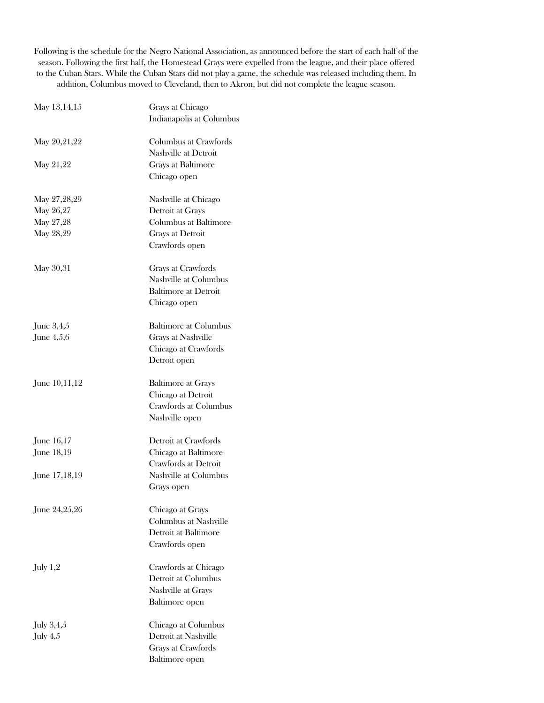Following is the schedule for the Negro National Association, as announced before the start of each half of the season. Following the first half, the Homestead Grays were expelled from the league, and their place offered to the Cuban Stars. While the Cuban Stars did not play a game, the schedule was released including them. In addition, Columbus moved to Cleveland, then to Akron, but did not complete the league season.

| May 13,14,15  | Grays at Chicago<br>Indianapolis at Columbus                                               |
|---------------|--------------------------------------------------------------------------------------------|
| May 20,21,22  | Columbus at Crawfords<br>Nashville at Detroit                                              |
| May 21,22     | Grays at Baltimore<br>Chicago open                                                         |
| May 27,28,29  | Nashville at Chicago                                                                       |
| May 26,27     | Detroit at Grays                                                                           |
| May 27,28     | Columbus at Baltimore                                                                      |
| May 28,29     | Grays at Detroit<br>Crawfords open                                                         |
| May 30,31     | Grays at Crawfords<br>Nashville at Columbus<br><b>Baltimore at Detroit</b><br>Chicago open |
| June $3,4,5$  | <b>Baltimore at Columbus</b>                                                               |
| June 4,5,6    | <b>Grays at Nashville</b>                                                                  |
|               | Chicago at Crawfords                                                                       |
|               | Detroit open                                                                               |
| June 10,11,12 | <b>Baltimore at Grays</b><br>Chicago at Detroit<br>Crawfords at Columbus<br>Nashville open |
| June 16,17    | Detroit at Crawfords                                                                       |
| June 18,19    | Chicago at Baltimore                                                                       |
|               | Crawfords at Detroit                                                                       |
| June 17,18,19 | Nashville at Columbus                                                                      |
|               | Grays open                                                                                 |
| June 24,25,26 | Chicago at Grays                                                                           |
|               | Columbus at Nashville                                                                      |
|               | Detroit at Baltimore                                                                       |
|               | Crawfords open                                                                             |
| July $1,2$    | Crawfords at Chicago                                                                       |
|               | Detroit at Columbus                                                                        |
|               | Nashville at Grays                                                                         |
|               | Baltimore open                                                                             |
| July 3,4,5    | Chicago at Columbus                                                                        |
| July $4,5$    | Detroit at Nashville                                                                       |
|               | Grays at Crawfords                                                                         |
|               | Baltimore open                                                                             |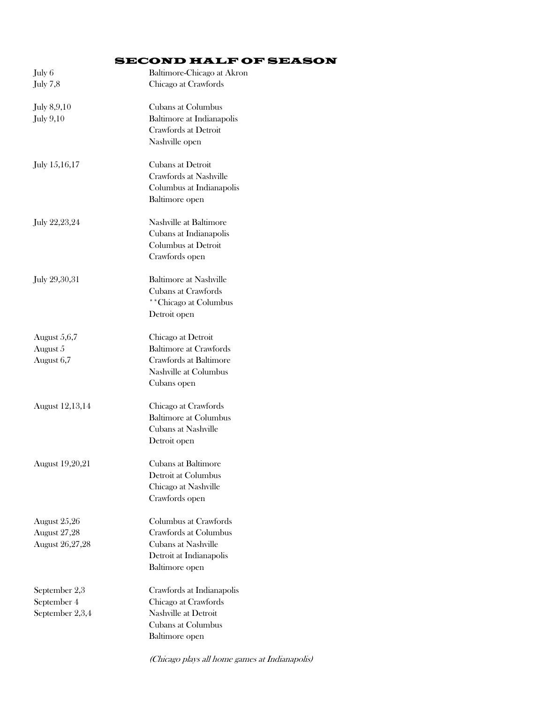## SECOND HALF OF SEASON

| July 6<br>July 7,8                              | Baltimore-Chicago at Akron<br>Chicago at Crawfords                                                                    |
|-------------------------------------------------|-----------------------------------------------------------------------------------------------------------------------|
| July 8,9,10<br>July 9,10                        | <b>Cubans at Columbus</b><br><b>Baltimore at Indianapolis</b><br>Crawfords at Detroit<br>Nashville open               |
| July 15,16,17                                   | <b>Cubans at Detroit</b><br>Crawfords at Nashville<br>Columbus at Indianapolis<br>Baltimore open                      |
| July 22,23,24                                   | Nashville at Baltimore<br>Cubans at Indianapolis<br>Columbus at Detroit<br>Crawfords open                             |
| July 29,30,31                                   | <b>Baltimore at Nashville</b><br>Cubans at Crawfords<br>** Chicago at Columbus<br>Detroit open                        |
| August $5,6,7$<br>August 5<br>August 6,7        | Chicago at Detroit<br><b>Baltimore at Crawfords</b><br>Crawfords at Baltimore<br>Nashville at Columbus<br>Cubans open |
| August 12,13,14                                 | Chicago at Crawfords<br><b>Baltimore at Columbus</b><br>Cubans at Nashville<br>Detroit open                           |
| August 19,20,21                                 | Cubans at Baltimore<br>Detroit at Columbus<br>Chicago at Nashville<br>Crawfords open                                  |
| August 25,26<br>August 27,28<br>August 26,27,28 | Columbus at Crawfords<br>Crawfords at Columbus<br>Cubans at Nashville<br>Detroit at Indianapolis<br>Baltimore open    |
| September 2,3<br>September 4<br>September 2,3,4 | Crawfords at Indianapolis<br>Chicago at Crawfords<br>Nashville at Detroit<br>Cubans at Columbus<br>Baltimore open     |

(Chicago plays all home games at Indianapolis)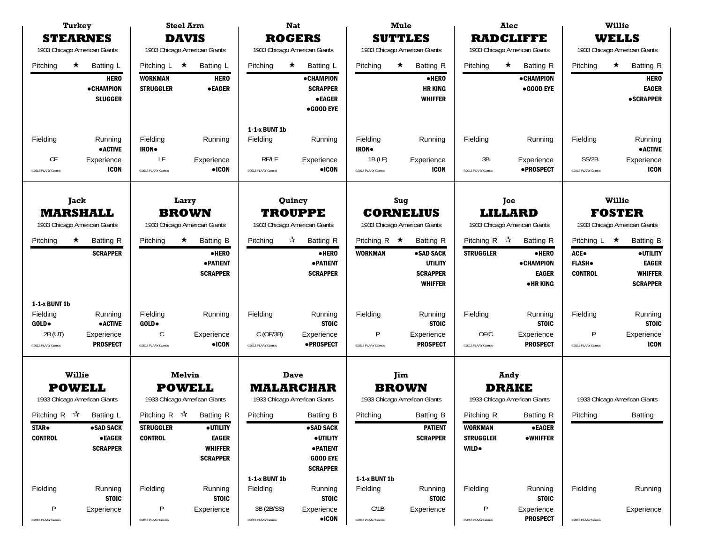| Turkey                                                             |                                                                                                                                              |                                                          | <b>Steel Arm</b>                                                                                       |                                                         | <b>Nat</b>                                                                                                 |                                                   | Mule                                                                                  |                                                            | Alec                                                                      |                                                                | <b>Willie</b>                                                                      |
|--------------------------------------------------------------------|----------------------------------------------------------------------------------------------------------------------------------------------|----------------------------------------------------------|--------------------------------------------------------------------------------------------------------|---------------------------------------------------------|------------------------------------------------------------------------------------------------------------|---------------------------------------------------|---------------------------------------------------------------------------------------|------------------------------------------------------------|---------------------------------------------------------------------------|----------------------------------------------------------------|------------------------------------------------------------------------------------|
| <b>STEARNES</b><br>1933 Chicago American Giants                    |                                                                                                                                              |                                                          | <b>DAVIS</b><br>1933 Chicago American Giants                                                           |                                                         | <b>ROGERS</b><br>1933 Chicago American Giants                                                              |                                                   | <b>SUTTLES</b><br>1933 Chicago American Giants                                        |                                                            | <b>RADCLIFFE</b><br>1933 Chicago American Giants                          |                                                                | <b>WELLS</b><br>1933 Chicago American Giants                                       |
| $\star$<br>Pitching                                                | <b>Batting L</b><br><b>HERO</b><br><b>•CHAMPION</b><br><b>SLUGGER</b>                                                                        | Pitching $L \star$<br><b>WORKMAN</b><br><b>STRUGGLER</b> | Batting L<br><b>HERO</b><br><b>•EAGER</b>                                                              | Pitching                                                | $\star$<br>Batting L<br><b>•CHAMPION</b><br><b>SCRAPPER</b><br><b>•EAGER</b>                               | Pitching                                          | $\star$<br><b>Batting R</b><br>·HERO<br><b>HR KING</b><br><b>WHIFFER</b>              | Pitching                                                   | $\star$<br><b>Batting R</b><br><b>•CHAMPION</b><br>$\bullet$ GOOD EYE     | Pitching                                                       | $\star$<br>Batting R<br><b>HERO</b><br><b>EAGER</b><br><b>•SCRAPPER</b>            |
| Fielding<br>CF<br>@2013 PLAAY Games                                | Running<br><b>•ACTIVE</b><br>Experience<br><b>ICON</b>                                                                                       | Fielding<br>IRON.<br>LF<br>@2013 PLAAY Games             | Running<br>Experience<br>$\bullet$ ICON                                                                | 1-1-x BUNT 1b<br>Fielding<br>RF/LF<br>@2013 PLAAY Games | •GOOD EYE<br>Running<br>Experience<br>$\bullet$ ICON                                                       | Fielding<br>IRON.<br>1B (LF)<br>@2013 PLAAY Games | Running<br>Experience<br><b>ICON</b>                                                  | Fielding<br>3B<br>@2013 PLAAY Games                        | Running<br>Experience<br>•PROSPECT                                        | Fielding<br>SS/2B<br>@2013 PLAAY Games                         | Running<br><b>•ACTIVE</b><br>Experience<br><b>ICON</b>                             |
| 1933 Chicago American Giants                                       | Jack<br>Quincy<br>Larry<br><b>MARSHALL</b><br><b>BROWN</b><br><b>TROUPPE</b><br>1933 Chicago American Giants<br>1933 Chicago American Giants |                                                          |                                                                                                        |                                                         | Sug<br><b>CORNELIUS</b><br>1933 Chicago American Giants                                                    |                                                   | Joe<br>LILLARD<br>1933 Chicago American Giants                                        | Willie<br><b>FOSTER</b><br>1933 Chicago American Giants    |                                                                           |                                                                |                                                                                    |
| $\star$<br>Pitching                                                | <b>Batting R</b><br><b>SCRAPPER</b>                                                                                                          | Pitching                                                 | $\star$<br><b>Batting B</b><br>·HERO<br>· PATIENT<br><b>SCRAPPER</b>                                   | Pitching                                                | $\vec{\lambda}$<br><b>Batting R</b><br>·HERO<br><b>• PATIENT</b><br><b>SCRAPPER</b>                        | Pitching R $\star$<br><b>WORKMAN</b>              | <b>Batting R</b><br>• SAD SACK<br><b>UTILITY</b><br><b>SCRAPPER</b><br><b>WHIFFER</b> | Pitching R $\sqrt{x}$<br><b>STRUGGLER</b>                  | <b>Batting R</b><br>·HERO<br><b>•CHAMPION</b><br><b>EAGER</b><br>•HR KING | Pitching L $\star$<br>ACE.<br><b>FLASH</b> .<br><b>CONTROL</b> | <b>Batting B</b><br>· UTILITY<br><b>EAGER</b><br><b>WHIFFER</b><br><b>SCRAPPER</b> |
| 1-1-x BUNT 1b<br>Fielding<br>GOLD.<br>2B (UT)<br>©2013 PLAAY Games | Running<br><b>•ACTIVE</b><br>Experience<br><b>PROSPECT</b>                                                                                   | Fielding<br>GOLD.<br>C<br><sup>©</sup> 2013 PLAAY Games  | Running<br>Experience<br>$\bullet$ ICON                                                                | Fielding<br>$C$ (OF/3B)<br>©2013 PLAAY Games            | Running<br><b>STOIC</b><br>Experience<br>•PROSPECT                                                         | Fielding<br>P<br><sup>©2013</sup> PLAAY Games     | Running<br><b>STOIC</b><br>Experience<br><b>PROSPECT</b>                              | Fielding<br>OF/C<br>@2013 PLAAY Games                      | Running<br><b>STOIC</b><br>Experience<br><b>PROSPECT</b>                  | Fielding<br>P<br>@2013 PLAAY Games                             | Running<br><b>STOIC</b><br>Experience<br><b>ICON</b>                               |
| Willie<br><b>POWELL</b>                                            |                                                                                                                                              |                                                          | <b>Melvin</b><br><b>POWELL</b>                                                                         |                                                         | <b>Dave</b><br><b>MALARCHAR</b>                                                                            |                                                   | Jim<br><b>BROWN</b>                                                                   |                                                            | <b>Andy</b><br><b>DRAKE</b>                                               |                                                                |                                                                                    |
| 1933 Chicago American Giants                                       |                                                                                                                                              |                                                          | 1933 Chicago American Giants                                                                           |                                                         | 1933 Chicago American Giants                                                                               |                                                   | 1933 Chicago American Giants                                                          |                                                            | 1933 Chicago American Giants                                              |                                                                | 1933 Chicago American Giants                                                       |
| Pitching R $\sqrt{x}$ Batting L<br><b>STAR</b> .<br><b>CONTROL</b> | • SAD SACK<br><b>•EAGER</b><br><b>SCRAPPER</b>                                                                                               | <b>STRUGGLER</b><br><b>CONTROL</b>                       | Pitching R $\vec{x}$ Batting R<br><b>•UTILITY</b><br><b>EAGER</b><br><b>WHIFFER</b><br><b>SCRAPPER</b> | Pitching<br>1-1-x BUNT 1b                               | <b>Batting B</b><br>•SAD SACK<br><b>•UTILITY</b><br><b>• PATIENT</b><br><b>GOOD EYE</b><br><b>SCRAPPER</b> | Pitching<br>1-1-x BUNT 1b                         | <b>Batting B</b><br><b>PATIENT</b><br><b>SCRAPPER</b>                                 | Pitching R<br>WORKMAN<br><b>STRUGGLER</b><br><b>WILD</b> . | <b>Batting R</b><br><b>•EAGER</b><br><b>•WHIFFER</b>                      | Pitching                                                       | Batting                                                                            |
| Fielding                                                           | Running<br><b>STOIC</b>                                                                                                                      | Fielding                                                 | Running<br><b>STOIC</b>                                                                                | Fielding                                                | Running<br><b>STOIC</b>                                                                                    | Fielding                                          | Running<br><b>STOIC</b>                                                               | Fielding                                                   | Running<br><b>STOIC</b>                                                   | Fielding                                                       | Running                                                                            |
| P<br>@2013 PLAAY Games                                             | Experience                                                                                                                                   | P<br><sup>©</sup> 2013 PLAAY Games                       | Experience                                                                                             | 3B (2B/SS)<br>@2013 PLAAY Games                         | Experience<br>$\bullet$ ICON                                                                               | C/1B<br>@2013 PLAAY Games                         | Experience                                                                            | P<br>@2013 PLAAY Games                                     | Experience<br><b>PROSPECT</b>                                             | @2013 PLAAY Games                                              | Experience                                                                         |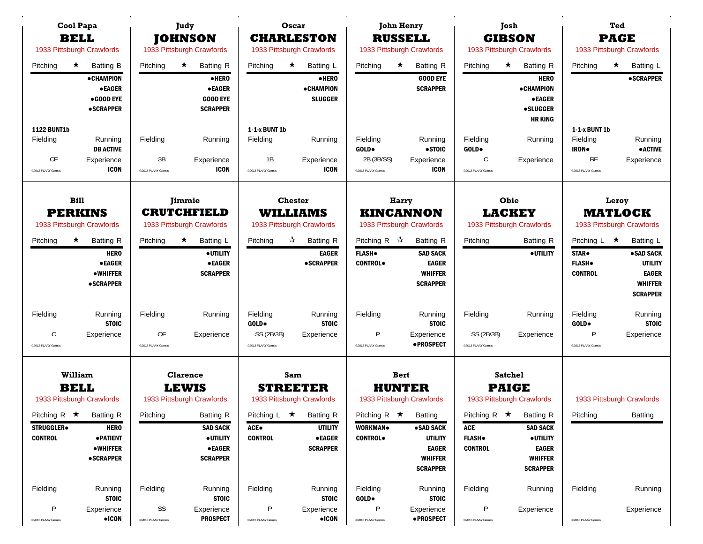| Cool Papa                                   |                                                                                  |                                                 | Judy                                                                   |                                                      | Oscar                                                     |                                                                   | <b>John Henry</b>                                                                        |                                                | Josh                                                                                    |                                                                             | Ted                                                                                            |
|---------------------------------------------|----------------------------------------------------------------------------------|-------------------------------------------------|------------------------------------------------------------------------|------------------------------------------------------|-----------------------------------------------------------|-------------------------------------------------------------------|------------------------------------------------------------------------------------------|------------------------------------------------|-----------------------------------------------------------------------------------------|-----------------------------------------------------------------------------|------------------------------------------------------------------------------------------------|
| <b>BELL</b><br>1933 Pittsburgh Crawfords    |                                                                                  |                                                 | <b>JOHNSON</b><br>1933 Pittsburgh Crawfords                            |                                                      | <b>CHARLESTON</b><br>1933 Pittsburgh Crawfords            |                                                                   | <b>RUSSELL</b><br>1933 Pittsburgh Crawfords                                              |                                                | <b>GIBSON</b><br>1933 Pittsburgh Crawfords                                              |                                                                             | <b>PAGE</b><br>1933 Pittsburgh Crawfords                                                       |
| Pitching<br>$\star$                         | <b>Batting B</b>                                                                 | Pitching                                        | $\star$<br><b>Batting R</b>                                            | Pitching                                             | Batting L<br>$\star$                                      | Pitching                                                          | $\star$<br><b>Batting R</b>                                                              | Pitching                                       | <b>Batting R</b><br>$\star$                                                             | Pitching                                                                    | Batting L<br>$\star$                                                                           |
|                                             | • CHAMPION<br><b>•EAGER</b><br>•GOOD EYE<br><b>•SCRAPPER</b>                     |                                                 | •HERO<br><b>•EAGER</b><br><b>GOOD EYE</b><br><b>SCRAPPER</b>           |                                                      | • HERO<br><b>•CHAMPION</b><br><b>SLUGGER</b>              |                                                                   | <b>GOOD EYE</b><br><b>SCRAPPER</b>                                                       |                                                | <b>HERO</b><br>• CHAMPION<br><b>•EAGER</b><br><b>•SLUGGER</b><br><b>HR KING</b>         |                                                                             | <b>•SCRAPPER</b>                                                                               |
| <b>1122 BUNT1b</b>                          |                                                                                  |                                                 |                                                                        | 1-1-x BUNT 1b                                        |                                                           |                                                                   |                                                                                          |                                                |                                                                                         | 1-1-x BUNT 1b                                                               |                                                                                                |
| Fielding                                    | Running<br><b>DB ACTIVE</b>                                                      | Fielding                                        | Running                                                                | Fielding                                             | Running                                                   | Fielding<br>GOLD.                                                 | Running<br>•STOIC                                                                        | Fielding<br>GOLD.                              | Running                                                                                 | Fielding<br><b>IRON</b>                                                     | Running<br><b>•ACTIVE</b>                                                                      |
| СF<br>@2013 PLAAY Games                     | Experience<br><b>ICON</b>                                                        | 3B<br><sup>©</sup> 2013 PLAAY Games             | Experience<br><b>ICON</b>                                              | 1B<br>©2013 PLAAY Games                              | Experience<br><b>ICON</b>                                 | 2B (3B/SS)<br><sup>©</sup> 2013 PLAAY Games                       | Experience<br><b>ICON</b>                                                                | C<br>@2013 PLAAY Games                         | Experience                                                                              | RF<br>@2013 PLAAY Games                                                     | Experience                                                                                     |
|                                             | <b>Bill</b><br><b>Chester</b><br><b>Jimmie</b>                                   |                                                 |                                                                        | Harry                                                |                                                           | Obie                                                              | Leroy                                                                                    |                                                |                                                                                         |                                                                             |                                                                                                |
| <b>PERKINS</b><br>1933 Pittsburgh Crawfords |                                                                                  |                                                 | <b>CRUTCHFIELD</b><br>1933 Pittsburgh Crawfords                        |                                                      | <b>WILLIAMS</b><br>1933 Pittsburgh Crawfords              |                                                                   | KINCANNON<br>1933 Pittsburgh Crawfords                                                   |                                                | <b>LACKEY</b><br>1933 Pittsburgh Crawfords                                              | MATLOCK<br>1933 Pittsburgh Crawfords                                        |                                                                                                |
| $\star$<br>Pitching                         | <b>Batting R</b><br><b>HERO</b><br><b>•EAGER</b><br>•WHIFFER<br><b>•SCRAPPER</b> | Pitching                                        | $\star$<br>Batting L<br>· UTILITY<br><b>•EAGER</b><br><b>SCRAPPER</b>  | Pitching                                             | ☆<br><b>Batting R</b><br><b>EAGER</b><br><b>•SCRAPPER</b> | Pitching R $\sqrt{\lambda}$<br><b>FLASH</b> .<br><b>CONTROL</b> . | <b>Batting R</b><br><b>SAD SACK</b><br><b>EAGER</b><br><b>WHIFFER</b><br><b>SCRAPPER</b> | Pitching                                       | <b>Batting R</b><br><b>•UTILITY</b>                                                     | Pitching $L \star$<br>STAR <sup>.</sup><br><b>FLASH</b> .<br><b>CONTROL</b> | Batting L<br>• SAD SACK<br><b>UTILITY</b><br><b>EAGER</b><br><b>WHIFFER</b><br><b>SCRAPPER</b> |
| Fielding<br>C<br>@2013 PLAAY Games          | Running<br><b>STOIC</b><br>Experience                                            | Fielding<br>OF<br><sup>©</sup> 2013 PLAAY Games | Running<br>Experience                                                  | Fielding<br>GOLD.<br>SS (2B/3B)<br>@2013 PLAAY Games | Running<br><b>STOIC</b><br>Experience                     | Fielding<br>P<br><sup>©</sup> 2013 PLAAY Games                    | Running<br><b>STOIC</b><br>Experience<br>• PROSPECT                                      | Fielding<br>SS (2B/3B)<br>@2013 PLAAY Games    | Running<br>Experience                                                                   | Fielding<br>GOLD.<br>P<br><sup>©2013</sup> PLAAY Games                      | Running<br><b>STOIC</b><br>Experience                                                          |
| William                                     |                                                                                  |                                                 | <b>Clarence</b>                                                        |                                                      | Sam                                                       |                                                                   | <b>Bert</b>                                                                              |                                                | <b>Satchel</b>                                                                          |                                                                             |                                                                                                |
| <b>BELL</b>                                 |                                                                                  |                                                 | <b>LEWIS</b>                                                           |                                                      | <b>STREETER</b>                                           |                                                                   | <b>HUNTER</b>                                                                            |                                                | <b>PAIGE</b>                                                                            |                                                                             |                                                                                                |
| 1933 Pittsburgh Crawfords                   |                                                                                  |                                                 | 1933 Pittsburgh Crawfords                                              |                                                      | 1933 Pittsburgh Crawfords                                 |                                                                   | 1933 Pittsburgh Crawfords                                                                |                                                | 1933 Pittsburgh Crawfords                                                               |                                                                             | 1933 Pittsburgh Crawfords                                                                      |
| Pitching R $\star$ Batting R                |                                                                                  | Pitching                                        | <b>Batting R</b>                                                       |                                                      | Pitching L $\star$ Batting R                              | Pitching R $\star$ Batting                                        |                                                                                          |                                                | Pitching R $\star$ Batting R                                                            | Pitching                                                                    | <b>Batting</b>                                                                                 |
| <b>STRUGGLER</b> .<br><b>CONTROL</b>        | <b>HERO</b><br><b>• PATIENT</b><br><b>•WHIFFER</b><br><b>•SCRAPPER</b>           |                                                 | <b>SAD SACK</b><br><b>•UTILITY</b><br><b>•EAGER</b><br><b>SCRAPPER</b> | ACE•<br><b>CONTROL</b>                               | <b>UTILITY</b><br><b>•EAGER</b><br><b>SCRAPPER</b>        | <b>WORKMAN</b><br><b>CONTROL</b>                                  | • SAD SACK<br><b>UTILITY</b><br><b>EAGER</b><br><b>WHIFFER</b><br><b>SCRAPPER</b>        | <b>ACE</b><br><b>FLASH</b> .<br><b>CONTROL</b> | <b>SAD SACK</b><br><b>•UTILITY</b><br><b>EAGER</b><br><b>WHIFFER</b><br><b>SCRAPPER</b> |                                                                             |                                                                                                |
| Fielding                                    | Running<br><b>STOIC</b>                                                          | Fielding                                        | Running<br><b>STOIC</b>                                                | Fielding                                             | Running<br><b>STOIC</b>                                   | Fielding<br>GOLD.                                                 | Running<br><b>STOIC</b>                                                                  | Fielding                                       | Running                                                                                 | Fielding                                                                    | Running                                                                                        |
| P<br>@2013 PLAAY Games                      | Experience<br>$\bullet$ ICON                                                     | SS<br><sup>©</sup> 2013 PLAAY Games             | Experience<br><b>PROSPECT</b>                                          | P<br>@2013 PLAAY Games                               | Experience<br>$\bullet$ ICON                              | P<br>@2013 PLAAY Games                                            | Experience<br><b>•PROSPECT</b>                                                           | P<br>@2013 PLAAY Games                         | Experience                                                                              | @2013 PLAAY Games                                                           | Experience                                                                                     |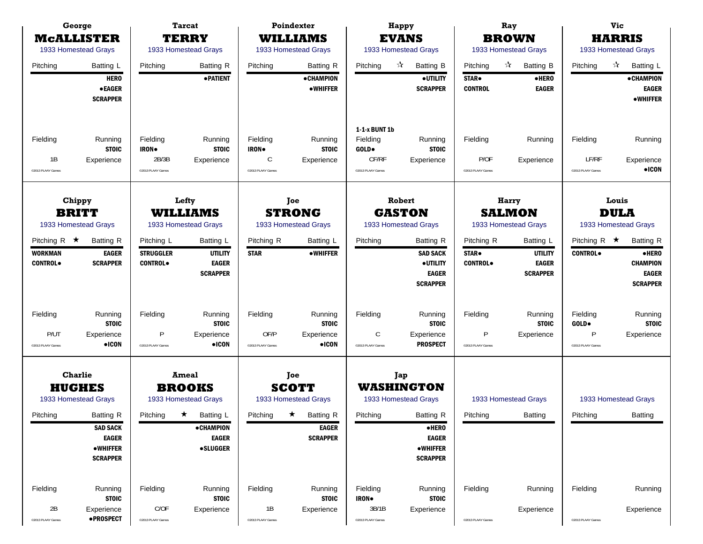|                                                        | George<br><b>MCALLISTER</b><br>1933 Homestead Grays                                                                                           |                                                                   | <b>Tarcat</b><br><b>TERRY</b><br>1933 Homestead Grays                                                                          |                                                   | Poindexter<br><b>WILLIAMS</b><br>1933 Homestead Grays                                                  |                                                                  | <b>Happy</b><br><b>EVANS</b><br>1933 Homestead Grays                                                                                  |                                                       | Ray<br><b>BROWN</b><br>1933 Homestead Grays                    |                                                         | <b>Vic</b><br><b>HARRIS</b><br>1933 Homestead Grays                             |
|--------------------------------------------------------|-----------------------------------------------------------------------------------------------------------------------------------------------|-------------------------------------------------------------------|--------------------------------------------------------------------------------------------------------------------------------|---------------------------------------------------|--------------------------------------------------------------------------------------------------------|------------------------------------------------------------------|---------------------------------------------------------------------------------------------------------------------------------------|-------------------------------------------------------|----------------------------------------------------------------|---------------------------------------------------------|---------------------------------------------------------------------------------|
| Pitching                                               | Batting L<br><b>HERO</b><br><b>•EAGER</b><br><b>SCRAPPER</b>                                                                                  | Pitching                                                          | Batting R<br><b>• PATIENT</b>                                                                                                  | Pitching                                          | Batting R<br><b>•CHAMPION</b><br><b>•WHIFFER</b>                                                       | Pitching                                                         | $\frac{1}{2}$<br><b>Batting B</b><br>· UTILITY<br><b>SCRAPPER</b>                                                                     | Pitching<br><b>STAR</b> .<br><b>CONTROL</b>           | $\frac{1}{2}$<br><b>Batting B</b><br>·HERO<br><b>EAGER</b>     | Pitching                                                | $\frac{1}{2}$<br>Batting L<br><b>•CHAMPION</b><br><b>EAGER</b><br>• WHIFFER     |
| Fielding<br>1B<br>©2013 PLAAY Games                    | Running<br><b>STOIC</b><br>Experience                                                                                                         | Fielding<br><b>IRON</b><br>2B/3B<br><sup>©</sup> 2013 PLAAY Games | Running<br><b>STOIC</b><br>Experience                                                                                          | Fielding<br><b>IRON</b><br>C<br>©2013 PLAAY Games | Running<br><b>STOIC</b><br>Experience                                                                  | 1-1-x BUNT 1b<br>Fielding<br>GOLD.<br>CF/RF<br>@2013 PLAAY Games | Running<br><b>STOIC</b><br>Experience                                                                                                 | Fielding<br>P/OF<br>@2013 PLAAY Games                 | Running<br>Experience                                          | Fielding<br>LF/RF<br><sup>©</sup> 2013 PLAAY Games      | Running<br>Experience<br>$\bullet$ ICON                                         |
|                                                        | Chippy<br><b>BRITT</b><br>1933 Homestead Grays                                                                                                |                                                                   | Lefty<br><b>WILLIAMS</b><br>1933 Homestead Grays                                                                               |                                                   | <b>Toe</b><br><b>STRONG</b><br>1933 Homestead Grays                                                    |                                                                  | Robert<br><b>GASTON</b><br>1933 Homestead Grays                                                                                       | <b>Harry</b><br><b>SALMON</b><br>1933 Homestead Grays |                                                                |                                                         | Louis<br><b>DULA</b><br>1933 Homestead Grays                                    |
| Pitching R $\star$<br><b>WORKMAN</b><br><b>CONTROL</b> | <b>Batting R</b><br><b>EAGER</b><br><b>SCRAPPER</b>                                                                                           | Pitching L<br><b>STRUGGLER</b><br><b>CONTROL</b>                  | Batting L<br><b>UTILITY</b><br><b>EAGER</b><br><b>SCRAPPER</b>                                                                 | Pitching R<br><b>STAR</b>                         | Batting L<br>•WHIFFER                                                                                  | Pitching                                                         | Batting R<br><b>SAD SACK</b><br>· UTILITY<br><b>EAGER</b><br><b>SCRAPPER</b>                                                          | Pitching R<br>STAR <sup>.</sup><br><b>CONTROL</b>     | Batting L<br><b>UTILITY</b><br><b>EAGER</b><br><b>SCRAPPER</b> | Pitching R $\star$<br><b>CONTROL</b>                    | <b>Batting R</b><br>·HERO<br><b>CHAMPION</b><br><b>EAGER</b><br><b>SCRAPPER</b> |
| Fielding<br>P/UT<br>@2013 PLAAY Games                  | Running<br><b>STOIC</b><br>Experience<br>$\bullet$ ICON                                                                                       | Fielding<br>P<br><sup>©</sup> 2013 PLAAY Games                    | Running<br><b>STOIC</b><br>Experience<br>$\bullet$ ICON                                                                        | Fielding<br>OF/P<br>©2013 PLAAY Games             | Running<br><b>STOIC</b><br>Experience<br>$\bullet$ ICON                                                | Fielding<br>C<br>@2013 PLAAY Games                               | Running<br><b>STOIC</b><br>Experience<br><b>PROSPECT</b>                                                                              | Fielding<br>P<br>@2013 PLAAY Games                    | Running<br><b>STOIC</b><br>Experience                          | Fielding<br>GOLD.<br>P<br><sup>©</sup> 2013 PLAAY Games | Running<br><b>STOIC</b><br>Experience                                           |
| Pitching                                               | <b>Charlie</b><br><b>HUGHES</b><br>1933 Homestead Grays<br><b>Batting R</b><br><b>SAD SACK</b><br><b>EAGER</b><br>•WHIFFER<br><b>SCRAPPER</b> |                                                                   | Ameal<br><b>BROOKS</b><br>1933 Homestead Grays<br>Pitching ★ Batting L<br><b>• CHAMPION</b><br><b>EAGER</b><br><b>•SLUGGER</b> |                                                   | Joe<br><b>SCOTT</b><br>1933 Homestead Grays<br>Pitching ★ Batting R<br><b>EAGER</b><br><b>SCRAPPER</b> |                                                                  | Jap<br><b>WASHINGTON</b><br>1933 Homestead Grays<br>Pitching Batting R<br>·HERO<br><b>EAGER</b><br><b>•WHIFFER</b><br><b>SCRAPPER</b> | Pitching                                              | 1933 Homestead Grays<br>Batting                                | Pitching                                                | 1933 Homestead Grays<br>Batting                                                 |
| Fielding<br>2B<br>@2013 PLAAY Games                    | Running<br><b>STOIC</b><br>Experience<br><b>•PROSPECT</b>                                                                                     | Fielding<br>C/OF<br>@2013 PLAAY Games                             | Running<br><b>STOIC</b><br>Experience                                                                                          | Fielding<br>1B<br>@2013 PLAAY Games               | Running<br><b>STOIC</b><br>Experience                                                                  | Fielding<br><b>IRON</b><br>3B/1B<br>@2013 PLAAY Games            | Running<br><b>STOIC</b><br>Experience                                                                                                 | Fielding<br>@2013 PLAAY Games                         | Running<br>Experience                                          | Fielding<br>@2013 PLAAY Games                           | Running<br>Experience                                                           |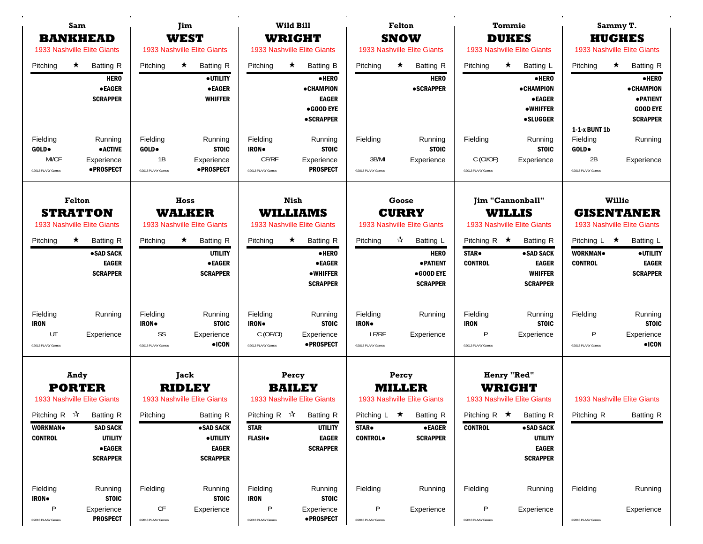| Sam<br><b>BANKHEAD</b>                                                                                                   |                                                                     |                                                                | Jim<br><b>WEST</b>                                                                                   |                                                           | Wild Bill<br><b>WRIGHT</b>                                                                                                                  |                                                       | <b>Felton</b><br><b>SNOW</b>                                                                                  | <b>Tommie</b><br><b>DUKES</b><br>1933 Nashville Elite Giants |                                                                                                                       | Sammy T.<br><b>HUGHES</b>                                                 |                                                                                                                                                   |
|--------------------------------------------------------------------------------------------------------------------------|---------------------------------------------------------------------|----------------------------------------------------------------|------------------------------------------------------------------------------------------------------|-----------------------------------------------------------|---------------------------------------------------------------------------------------------------------------------------------------------|-------------------------------------------------------|---------------------------------------------------------------------------------------------------------------|--------------------------------------------------------------|-----------------------------------------------------------------------------------------------------------------------|---------------------------------------------------------------------------|---------------------------------------------------------------------------------------------------------------------------------------------------|
| 1933 Nashville Elite Giants<br>Pitching<br>$\star$                                                                       | <b>Batting R</b><br><b>HERO</b><br><b>•EAGER</b><br><b>SCRAPPER</b> | Pitching                                                       | 1933 Nashville Elite Giants<br>★<br><b>Batting R</b><br>· UTILITY<br><b>•EAGER</b><br><b>WHIFFER</b> | Pitching                                                  | 1933 Nashville Elite Giants<br>$\star$<br><b>Batting B</b><br>•HERO<br><b>•CHAMPION</b><br><b>EAGER</b><br>$•$ GOOD EYE<br><b>•SCRAPPER</b> | Pitching                                              | 1933 Nashville Elite Giants<br>$\star$<br><b>Batting R</b><br><b>HERO</b><br><b>•SCRAPPER</b>                 | Pitching                                                     | $\star$<br>Batting L<br>•HERO<br>• CHAMPION<br><b>•EAGER</b><br><b>•WHIFFER</b><br><b>•SLUGGER</b>                    | Pitching                                                                  | 1933 Nashville Elite Giants<br>$\star$<br><b>Batting R</b><br>·HERO<br><b>•CHAMPION</b><br><b>• PATIENT</b><br><b>GOOD EYE</b><br><b>SCRAPPER</b> |
| Fielding<br>GOLD.<br>MI/CF<br>©2013 PLAAY Games                                                                          | Running<br><b>• ACTIVE</b><br>Experience<br>• PROSPECT              | Fielding<br>GOLD.<br>1B<br><sup>©</sup> 2013 PLAAY Games       | Running<br><b>STOIC</b><br>Experience<br>•PROSPECT                                                   | Fielding<br><b>IRON</b><br>CF/RF<br>@2013 PLAAY Games     | Running<br><b>STOIC</b><br>Experience<br><b>PROSPECT</b>                                                                                    | Fielding<br>3B/MI<br>@2013 PLAAY Games                | Running<br><b>STOIC</b><br>Experience                                                                         | Fielding<br>C (CI/OF)<br>@2013 PLAAY Games                   | Running<br><b>STOIC</b><br>Experience                                                                                 | 1-1-x BUNT 1b<br>Fielding<br>GOLD.<br>2B<br><sup>©</sup> 2013 PLAAY Games | Running<br>Experience                                                                                                                             |
| 1933 Nashville Elite Giants                                                                                              | Felton<br>Hoss<br><b>STRATTON</b><br><b>WALKER</b>                  |                                                                | 1933 Nashville Elite Giants                                                                          |                                                           | Nish<br><b>WILLIAMS</b><br>1933 Nashville Elite Giants                                                                                      | Goose<br><b>CURRY</b><br>1933 Nashville Elite Giants  |                                                                                                               |                                                              | Jim "Cannonball"<br><b>WILLIS</b><br>1933 Nashville Elite Giants                                                      | <b>Willie</b><br><b>GISENTANER</b><br>1933 Nashville Elite Giants         |                                                                                                                                                   |
| $\star$<br>Pitching                                                                                                      | <b>Batting R</b><br>•SAD SACK<br><b>EAGER</b><br><b>SCRAPPER</b>    | Pitching                                                       | $\star$<br><b>Batting R</b><br><b>UTILITY</b><br><b>•EAGER</b><br><b>SCRAPPER</b>                    | Pitching                                                  | $\star$<br><b>Batting R</b><br>•HERO<br><b>•EAGER</b><br><b>•WHIFFER</b><br><b>SCRAPPER</b>                                                 | Pitching                                              | $\frac{1}{\sqrt{2}}$<br>Batting L<br><b>HERO</b><br><b>• PATIENT</b><br>•GOOD EYE<br><b>SCRAPPER</b>          | Pitching R $\star$<br><b>STAR</b> .<br><b>CONTROL</b>        | <b>Batting R</b><br>•SAD SACK<br><b>EAGER</b><br><b>WHIFFER</b><br><b>SCRAPPER</b>                                    | Pitching L $\star$<br>WORKMAN.<br><b>CONTROL</b>                          | Batting L<br>· UTILITY<br><b>EAGER</b><br><b>SCRAPPER</b>                                                                                         |
| Fielding<br><b>IRON</b><br>UT<br>@2013 PLAAY Games                                                                       | Running<br>Experience                                               | Fielding<br><b>IRON</b><br>SS<br><sup>©</sup> 2013 PLAAY Games | Running<br><b>STOIC</b><br>Experience<br>$\bullet$ ICON                                              | Fielding<br><b>IRON</b><br>C (OF/CI)<br>@2013 PLAAY Games | Running<br><b>STOIC</b><br>Experience<br><b>•PROSPECT</b>                                                                                   | Fielding<br><b>IRON</b><br>LF/RF<br>@2013 PLAAY Games | Running<br>Experience                                                                                         | Fielding<br><b>IRON</b><br>P<br>@2013 PLAAY Games            | Running<br><b>STOIC</b><br>Experience                                                                                 | Fielding<br>P<br>@2013 PLAAY Games                                        | Running<br><b>STOIC</b><br>Experience<br>$\bullet$ ICON                                                                                           |
| <b>Andy</b><br><b>PORTER</b><br>1933 Nashville Elite Giants<br>Pitching R $\sqrt{\lambda}$<br>WORKMAN.<br><b>CONTROL</b> | <b>Batting R</b><br><b>SAD SACK</b><br><b>UTILITY</b>               | Pitching                                                       | Jack<br><b>RIDLEY</b><br>1933 Nashville Elite Giants<br>Batting R<br>•SAD SACK<br>· UTILITY          | Pitching R $\mathcal{R}$<br><b>STAR</b><br><b>FLASH</b> . | Percy<br><b>BAILEY</b><br>1933 Nashville Elite Giants<br><b>Batting R</b><br><b>UTILITY</b><br><b>EAGER</b>                                 | Pitching $L \star$<br><b>STAR</b> .<br><b>CONTROL</b> | Percy<br><b>MILLER</b><br>1933 Nashville Elite Giants<br><b>Batting R</b><br><b>•EAGER</b><br><b>SCRAPPER</b> | Pitching R $\star$<br><b>CONTROL</b>                         | <b>Henry "Red"</b><br><b>WRIGHT</b><br>1933 Nashville Elite Giants<br><b>Batting R</b><br>•SAD SACK<br><b>UTILITY</b> | Pitching R                                                                | 1933 Nashville Elite Giants<br>Batting R                                                                                                          |
| Fielding                                                                                                                 | $\bullet$ EAGER<br><b>SCRAPPER</b><br>Running                       | Fielding                                                       | <b>EAGER</b><br><b>SCRAPPER</b><br>Running                                                           | Fielding                                                  | <b>SCRAPPER</b><br>Running                                                                                                                  | Fielding                                              | Running                                                                                                       | Fielding                                                     | <b>EAGER</b><br><b>SCRAPPER</b><br>Running                                                                            | Fielding                                                                  | Running                                                                                                                                           |
| <b>IRON</b><br>${\sf P}$<br>@2013 PLAAY Games                                                                            | <b>STOIC</b><br>Experience<br><b>PROSPECT</b>                       | CF<br><sup>©</sup> 2013 PLAAY Games                            | <b>STOIC</b><br>Experience                                                                           | <b>IRON</b><br>$\sf P$<br>@2013 PLAAY Games               | <b>STOIC</b><br>Experience<br><b>•PROSPECT</b>                                                                                              | P<br>@2013 PLAAY Games                                | Experience                                                                                                    | P<br>@2013 PLAAY Games                                       | Experience                                                                                                            | @2013 PLAAY Games                                                         | Experience                                                                                                                                        |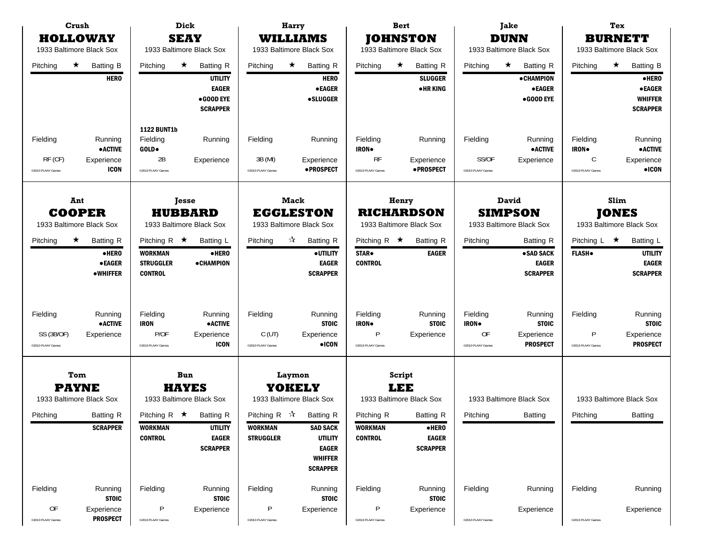| Crush<br><b>HOLLOWAY</b><br>1933 Baltimore Black Sox                                                                                 | Dick<br><b>SEAY</b><br>1933 Baltimore Black Sox                                                                                                                          | <b>Harry</b><br><b>WILLIAMS</b><br>1933 Baltimore Black Sox                                                                                                                                                           | <b>Bert</b><br><b>JOHNSTON</b><br>1933 Baltimore Black Sox                                                                                                         | <b>Jake</b><br><b>DUNN</b><br>1933 Baltimore Black Sox                                                                              | Tex<br><b>BURNETT</b><br>1933 Baltimore Black Sox                                                                                                          |  |
|--------------------------------------------------------------------------------------------------------------------------------------|--------------------------------------------------------------------------------------------------------------------------------------------------------------------------|-----------------------------------------------------------------------------------------------------------------------------------------------------------------------------------------------------------------------|--------------------------------------------------------------------------------------------------------------------------------------------------------------------|-------------------------------------------------------------------------------------------------------------------------------------|------------------------------------------------------------------------------------------------------------------------------------------------------------|--|
| $\star$<br>Pitching<br><b>Batting B</b><br><b>HERO</b>                                                                               | $\star$<br>Pitching<br><b>Batting R</b><br><b>UTILITY</b><br><b>EAGER</b><br>•GOOD EYE<br><b>SCRAPPER</b>                                                                | $\star$<br>Pitching<br><b>Batting R</b><br><b>HERO</b><br><b>•EAGER</b><br><b>•SLUGGER</b>                                                                                                                            | ★<br><b>Batting R</b><br>Pitching<br><b>SLUGGER</b><br>• HR KING                                                                                                   | <b>Batting R</b><br>Pitching<br>$\star$<br><b>•CHAMPION</b><br><b>• EAGER</b><br>$•$ GOOD EYE                                       | $\star$<br><b>Batting B</b><br>Pitching<br>·HERO<br><b>•EAGER</b><br><b>WHIFFER</b><br><b>SCRAPPER</b>                                                     |  |
| Fielding<br>Running<br><b>•ACTIVE</b><br>RF (CF)<br>Experience<br><b>ICON</b><br>@2013 PLAAY Games                                   | <b>1122 BUNT1b</b><br>Fielding<br>Running<br>GOLD.<br>2B<br>Experience<br><sup>©</sup> 2013 PLAAY Games                                                                  | Fielding<br>Running<br>3B (MI)<br>Experience<br>• PROSPECT<br>@2013 PLAAY Games                                                                                                                                       | Fielding<br>Running<br>IRON.<br>RF<br>Experience<br><b>•PROSPECT</b><br>@2013 PLAAY Games                                                                          | Fielding<br>Running<br><b>•ACTIVE</b><br>SS/OF<br>Experience<br>@2013 PLAAY Games                                                   | Fielding<br>Running<br><b>IRON</b><br><b>•ACTIVE</b><br>C<br>Experience<br>$\bullet$ ICON<br>@2013 PLAAY Games                                             |  |
| Ant<br><b>COOPER</b><br>1933 Baltimore Black Sox<br>★<br>Pitching<br><b>Batting R</b><br>·HERO<br><b>•EAGER</b><br>$\bullet$ WHIFFER | Jesse<br><b>HUBBARD</b><br>1933 Baltimore Black Sox<br>Pitching R $\star$<br>Batting L<br><b>WORKMAN</b><br>·HERO<br>• CHAMPION<br><b>STRUGGLER</b><br><b>CONTROL</b>    | <b>Mack</b><br><b>EGGLESTON</b><br>1933 Baltimore Black Sox<br>☆<br><b>Batting R</b><br>Pitching<br><b>•UTILITY</b><br><b>EAGER</b><br><b>SCRAPPER</b>                                                                | Henry<br><b>RICHARDSON</b><br>1933 Baltimore Black Sox<br>Pitching R $\star$<br><b>Batting R</b><br><b>STAR</b> .<br><b>EAGER</b><br><b>CONTROL</b>                | <b>David</b><br><b>SIMPSON</b><br>1933 Baltimore Black Sox<br>Pitching<br>Batting R<br>•SAD SACK<br><b>EAGER</b><br><b>SCRAPPER</b> | Slim<br><b>JONES</b><br>1933 Baltimore Black Sox<br>Pitching $L \star$<br>Batting L<br><b>FLASH</b> .<br><b>UTILITY</b><br><b>EAGER</b><br><b>SCRAPPER</b> |  |
| Fielding<br>Running<br><b>• ACTIVE</b><br>SS (3B/OF)<br>Experience<br>@2013 PLAAY Games                                              | Fielding<br>Running<br><b>•ACTIVE</b><br><b>IRON</b><br>P/OF<br>Experience<br><b>ICON</b><br>@2013 PLAAY Games                                                           | Fielding<br>Running<br><b>STOIC</b><br>C(UT)<br>Experience<br>$\bullet$ ICON<br>@2013 PLAAY Games                                                                                                                     | Fielding<br>Running<br><b>STOIC</b><br><b>IRON</b> .<br>P<br>Experience<br>@2013 PLAAY Games                                                                       | Fielding<br>Running<br><b>STOIC</b><br><b>IRON</b><br>0F<br>Experience<br><b>PROSPECT</b><br>@2013 PLAAY Games                      | Fielding<br>Running<br><b>STOIC</b><br>P<br>Experience<br><b>PROSPECT</b><br>@2013 PLAAY Games                                                             |  |
| Tom<br><b>PAYNE</b><br>1933 Baltimore Black Sox<br><b>Batting R</b><br>Pitching<br><b>SCRAPPER</b>                                   | Bun<br><b>HAYES</b><br>1933 Baltimore Black Sox<br>Pitching R $\star$ Batting R<br><b>WORKMAN</b><br><b>UTILITY</b><br><b>CONTROL</b><br><b>EAGER</b><br><b>SCRAPPER</b> | Laymon<br>YOKELY<br>1933 Baltimore Black Sox<br>Pitching R $\sqrt{\lambda}$ Batting R<br><b>WORKMAN</b><br><b>SAD SACK</b><br><b>STRUGGLER</b><br><b>UTILITY</b><br><b>EAGER</b><br><b>WHIFFER</b><br><b>SCRAPPER</b> | Script<br><b>LEE</b><br>1933 Baltimore Black Sox<br>Pitching R<br><b>Batting R</b><br><b>WORKMAN</b><br>•HERO<br><b>EAGER</b><br><b>CONTROL</b><br><b>SCRAPPER</b> | 1933 Baltimore Black Sox<br>Pitching<br>Batting                                                                                     | 1933 Baltimore Black Sox<br>Pitching<br>Batting                                                                                                            |  |
| Fielding<br>Running<br><b>STOIC</b><br>OF<br>Experience<br><b>PROSPECT</b><br>©2013 PLAAY Games                                      | Fielding<br>Running<br><b>STOIC</b><br>P<br>Experience<br><sup>©</sup> 2013 PLAAY Games                                                                                  | Fielding<br>Running<br><b>STOIC</b><br>P<br>Experience<br>@2013 PLAAY Games                                                                                                                                           | Fielding<br>Running<br><b>STOIC</b><br>P<br>Experience<br>@2013 PLAAY Games                                                                                        | Fielding<br>Running<br>Experience<br>@2013 PLAAY Games                                                                              | Fielding<br>Running<br>Experience<br>@2013 PLAAY Games                                                                                                     |  |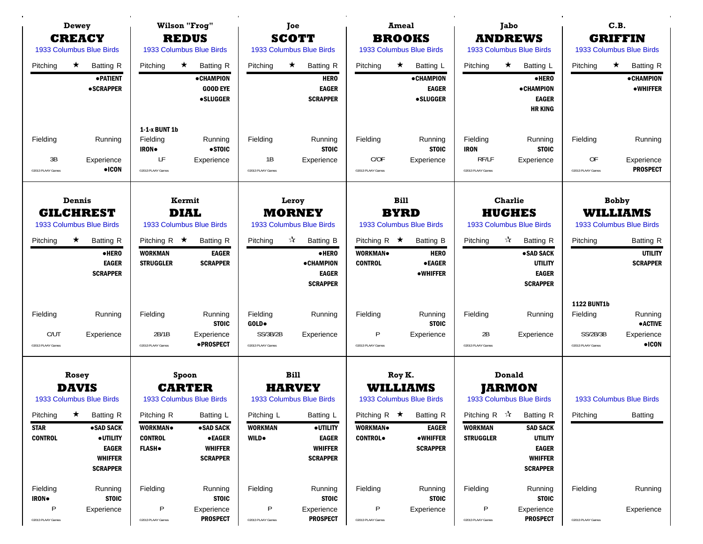|                                       | <b>Dewey</b>                                                            |                                                          | <b>Wilson "Frog"</b>                                    |                                                    | Joe                                                                                   |                                                  | <b>Ameal</b>                                                        |                                           | Jabo                                                                                                |                                                                 | C.B.                                                      |
|---------------------------------------|-------------------------------------------------------------------------|----------------------------------------------------------|---------------------------------------------------------|----------------------------------------------------|---------------------------------------------------------------------------------------|--------------------------------------------------|---------------------------------------------------------------------|-------------------------------------------|-----------------------------------------------------------------------------------------------------|-----------------------------------------------------------------|-----------------------------------------------------------|
|                                       | <b>CREACY</b><br>1933 Columbus Blue Birds                               |                                                          | <b>REDUS</b><br>1933 Columbus Blue Birds                |                                                    | <b>SCOTT</b><br>1933 Columbus Blue Birds                                              |                                                  | <b>BROOKS</b><br>1933 Columbus Blue Birds                           |                                           | <b>ANDREWS</b><br>1933 Columbus Blue Birds                                                          |                                                                 | <b>GRIFFIN</b><br>1933 Columbus Blue Birds                |
| Pitching                              | $\star$<br><b>Batting R</b>                                             | Pitching                                                 | $\star$<br><b>Batting R</b>                             | Pitching                                           | $\star$<br><b>Batting R</b>                                                           | Pitching                                         | $\star$<br><b>Batting L</b>                                         | Pitching                                  | $\star$<br>Batting L                                                                                | Pitching                                                        | $\star$<br><b>Batting R</b>                               |
|                                       | <b>• PATIENT</b><br><b>•SCRAPPER</b>                                    |                                                          | <b>• CHAMPION</b><br><b>GOOD EYE</b><br><b>•SLUGGER</b> |                                                    | <b>HERO</b><br><b>EAGER</b><br><b>SCRAPPER</b>                                        |                                                  | • CHAMPION<br><b>EAGER</b><br><b>•SLUGGER</b>                       |                                           | • HERO<br><b>•CHAMPION</b><br><b>EAGER</b><br><b>HR KING</b>                                        |                                                                 | <b>•CHAMPION</b><br><b>•WHIFFER</b>                       |
|                                       |                                                                         | 1-1-x BUNT 1b                                            |                                                         |                                                    |                                                                                       |                                                  |                                                                     |                                           |                                                                                                     |                                                                 |                                                           |
| Fielding                              | Running                                                                 | Fielding<br>IRON.                                        | Running<br>• STOIC                                      | Fielding                                           | Running<br><b>STOIC</b>                                                               | Fielding                                         | Running<br><b>STOIC</b>                                             | Fielding<br><b>IRON</b>                   | Running<br><b>STOIC</b>                                                                             | Fielding                                                        | Running                                                   |
| 3B<br>@2013 PLAAY Games               | Experience<br>$\bullet$ ICON                                            | LF<br><sup>©</sup> 2013 PLAAY Games                      | Experience                                              | 1B<br>©2013 PLAAY Games                            | Experience                                                                            | C/OF<br>@2013 PLAAY Games                        | Experience                                                          | RF/LF<br>@2013 PLAAY Games                | Experience                                                                                          | 0F<br>@2013 PLAAY Games                                         | Experience<br><b>PROSPECT</b>                             |
|                                       | Dennis                                                                  |                                                          | Kermit                                                  |                                                    | Leroy                                                                                 |                                                  | <b>Bill</b>                                                         |                                           | <b>Charlie</b>                                                                                      |                                                                 | <b>Bobby</b>                                              |
|                                       | <b>GILCHREST</b><br>1933 Columbus Blue Birds                            |                                                          | <b>DIAL</b><br>1933 Columbus Blue Birds                 |                                                    | <b>MORNEY</b><br>1933 Columbus Blue Birds                                             |                                                  | <b>BYRD</b><br>1933 Columbus Blue Birds                             | <b>HUGHES</b><br>1933 Columbus Blue Birds |                                                                                                     |                                                                 | <b>WILLIAMS</b><br>1933 Columbus Blue Birds               |
| Pitching                              | $\star$<br><b>Batting R</b><br>•HERO<br><b>EAGER</b><br><b>SCRAPPER</b> | Pitching R $\star$<br><b>WORKMAN</b><br><b>STRUGGLER</b> | <b>Batting R</b><br><b>EAGER</b><br><b>SCRAPPER</b>     | Pitching                                           | ☆<br><b>Batting B</b><br>•HERO<br><b>•CHAMPION</b><br><b>EAGER</b><br><b>SCRAPPER</b> | Pitching R $\star$<br>WORKMAN.<br><b>CONTROL</b> | <b>Batting B</b><br><b>HERO</b><br><b>•EAGER</b><br><b>•WHIFFER</b> | Pitching                                  | $\frac{1}{2}$<br><b>Batting R</b><br>•SAD SACK<br><b>UTILITY</b><br><b>EAGER</b><br><b>SCRAPPER</b> | Pitching                                                        | <b>Batting R</b><br><b>UTILITY</b><br><b>SCRAPPER</b>     |
| Fielding<br>C/UT<br>@2013 PLAAY Games | Running<br>Experience                                                   | Fielding<br>2B/1B<br><sup>o</sup> 2013 PLAAY Games       | Running<br><b>STOIC</b><br>Experience<br>• PROSPECT     | Fielding<br>GOLD.<br>SS/3B/2B<br>©2013 PLAAY Games | Running<br>Experience                                                                 | Fielding<br>P<br>@2013 PLAAY Games               | Running<br><b>STOIC</b><br>Experience                               | Fielding<br>2B<br>@2013 PLAAY Games       | Running<br>Experience                                                                               | <b>1122 BUNT1b</b><br>Fielding<br>SS/2B/3B<br>@2013 PLAAY Games | Running<br><b>•ACTIVE</b><br>Experience<br>$\bullet$ ICON |
|                                       |                                                                         |                                                          |                                                         |                                                    | <b>Bill</b>                                                                           |                                                  |                                                                     |                                           | <b>Donald</b>                                                                                       |                                                                 |                                                           |
|                                       | Rosey<br><b>DAVIS</b>                                                   |                                                          | Spoon<br><b>CARTER</b>                                  |                                                    | <b>HARVEY</b>                                                                         |                                                  | Roy K.<br><b>WILLIAMS</b>                                           |                                           | <b>JARMON</b>                                                                                       |                                                                 |                                                           |
|                                       | 1933 Columbus Blue Birds                                                |                                                          | 1933 Columbus Blue Birds                                |                                                    | 1933 Columbus Blue Birds                                                              |                                                  | 1933 Columbus Blue Birds                                            |                                           | 1933 Columbus Blue Birds                                                                            |                                                                 | 1933 Columbus Blue Birds                                  |
| Pitching                              | <b>Batting R</b><br>$\star$                                             | Pitching R                                               | Batting L                                               | Pitching L                                         | Batting L                                                                             |                                                  | Pitching R $\star$ Batting R                                        |                                           | Pitching R $\mathbf{\hat{x}}$ Batting R                                                             | Pitching                                                        | <b>Batting</b>                                            |
| <b>STAR</b>                           | • SAD SACK                                                              | WORKMAN.                                                 | •SAD SACK                                               | <b>WORKMAN</b>                                     | · UTILITY                                                                             | <b>WORKMAN</b>                                   | <b>EAGER</b>                                                        | <b>WORKMAN</b>                            | <b>SAD SACK</b>                                                                                     |                                                                 |                                                           |
| <b>CONTROL</b>                        | <b>•UTILITY</b><br><b>EAGER</b><br><b>WHIFFER</b><br><b>SCRAPPER</b>    | <b>CONTROL</b><br>FLASH•                                 | <b>•EAGER</b><br><b>WHIFFER</b><br><b>SCRAPPER</b>      | <b>WILD</b> .                                      | <b>EAGER</b><br><b>WHIFFER</b><br><b>SCRAPPER</b>                                     | <b>CONTROL</b>                                   | <b>•WHIFFER</b><br><b>SCRAPPER</b>                                  | <b>STRUGGLER</b>                          | <b>UTILITY</b><br><b>EAGER</b><br><b>WHIFFER</b><br><b>SCRAPPER</b>                                 |                                                                 |                                                           |
| Fielding<br><b>IRON</b>               | Running<br><b>STOIC</b>                                                 | Fielding                                                 | Running<br><b>STOIC</b>                                 | Fielding                                           | Running<br><b>STOIC</b>                                                               | Fielding                                         | Running<br><b>STOIC</b>                                             | Fielding                                  | Running<br><b>STOIC</b>                                                                             | Fielding                                                        | Running                                                   |
| $\sf P$<br>@2013 PLAAY Games          | Experience                                                              | Ρ<br>@2013 PLAAY Games                                   | Experience<br><b>PROSPECT</b>                           | P<br>@2013 PLAAY Games                             | Experience<br><b>PROSPECT</b>                                                         | P<br>@2013 PLAAY Games                           | Experience                                                          | P<br>@2013 PLAAY Games                    | Experience<br><b>PROSPECT</b>                                                                       | @2013 PLAAY Games                                               | Experience                                                |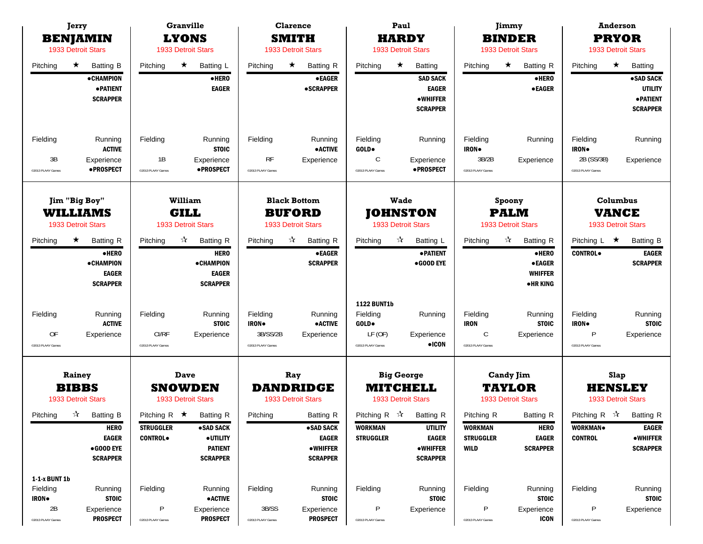|                         | Jerry<br><b>BENJAMIN</b><br>1933 Detroit Stars                      |                                        | <b>Granville</b><br><b>LYONS</b><br>1933 Detroit Stars |                               | <b>Clarence</b><br>SMITH<br><b>1933 Detroit Stars</b>            |                                         | Paul<br><b>HARDY</b><br>1933 Detroit Stars                   |                             | Jimmy<br><b>BINDER</b><br><b>1933 Detroit Stars</b>            |                                    | <b>Anderson</b><br><b>PRYOR</b><br><b>1933 Detroit Stars</b> |
|-------------------------|---------------------------------------------------------------------|----------------------------------------|--------------------------------------------------------|-------------------------------|------------------------------------------------------------------|-----------------------------------------|--------------------------------------------------------------|-----------------------------|----------------------------------------------------------------|------------------------------------|--------------------------------------------------------------|
| Pitching                | $\star$<br><b>Batting B</b><br><b>•CHAMPION</b><br><b>• PATIENT</b> | Pitching                               | ★<br>Batting L<br>·HERO<br><b>EAGER</b>                | Pitching                      | $\star$<br><b>Batting R</b><br><b>•EAGER</b><br><b>•SCRAPPER</b> | Pitching                                | $\star$<br><b>Batting</b><br><b>SAD SACK</b><br><b>EAGER</b> | Pitching                    | $\star$<br><b>Batting R</b><br>$\bullet$ HERO<br><b>•EAGER</b> | Pitching                           | $\star$<br><b>Batting</b><br>·SAD SACK<br><b>UTILITY</b>     |
|                         | <b>SCRAPPER</b>                                                     |                                        |                                                        |                               |                                                                  |                                         | • WHIFFER<br><b>SCRAPPER</b>                                 |                             |                                                                |                                    | <b>• PATIENT</b><br><b>SCRAPPER</b>                          |
| Fielding                | Running<br><b>ACTIVE</b>                                            | Fielding                               | Running<br><b>STOIC</b>                                | Fielding                      | Running<br><b>• ACTIVE</b>                                       | Fielding<br>GOLD.                       | Running                                                      | Fielding<br><b>IRON</b>     | Running                                                        | Fielding<br>IRON.                  | Running                                                      |
| 3B<br>@2013 PLAAY Games | Experience<br>• PROSPECT                                            | 1B<br><sup>o</sup> 2013 PLAAY Games    | Experience<br><b>•PROSPECT</b>                         | RF<br>©2013 PLAAY Games       | Experience                                                       | C<br><sup>©</sup> 2013 PLAAY Games      | Experience<br>·PROSPECT                                      | 3B/2B<br>@2013 PLAAY Games  | Experience                                                     | 2B (SS/3B)<br>@2013 PLAAY Games    | Experience                                                   |
|                         | William<br>Jim "Big Boy"                                            |                                        | <b>GILL</b>                                            |                               | <b>Black Bottom</b><br><b>BUFORD</b>                             |                                         | <b>Wade</b>                                                  |                             | Spoony                                                         | Columbus                           |                                                              |
|                         | WILLIAMS<br>1933 Detroit Stars                                      |                                        | 1933 Detroit Stars                                     |                               | 1933 Detroit Stars                                               |                                         | JOHNSTON<br>1933 Detroit Stars                               |                             | <b>PALM</b><br>1933 Detroit Stars                              | <b>VANCE</b><br>1933 Detroit Stars |                                                              |
| Pitching                | $\star$<br><b>Batting R</b>                                         | Pitching                               | ☆<br>Batting R                                         | Pitching                      | $\frac{1}{\sqrt{2}}$<br><b>Batting R</b>                         | Pitching                                | $\frac{1}{\sqrt{2}}$<br>Batting L                            | Pitching                    | $\frac{1}{\sqrt{2}}$<br><b>Batting R</b>                       | Pitching $L \star$                 | <b>Batting B</b>                                             |
|                         | $\bullet$ HERO<br><b>•CHAMPION</b>                                  |                                        | <b>HERO</b><br><b>• CHAMPION</b>                       |                               | <b>•EAGER</b><br><b>SCRAPPER</b>                                 |                                         | <b>• PATIENT</b><br>•GOOD EYE                                |                             | ·HERO<br><b>•EAGER</b>                                         | <b>CONTROL</b>                     | <b>EAGER</b><br><b>SCRAPPER</b>                              |
|                         | <b>EAGER</b><br><b>SCRAPPER</b>                                     |                                        | <b>EAGER</b><br><b>SCRAPPER</b>                        |                               |                                                                  |                                         |                                                              |                             | <b>WHIFFER</b><br><b>•HRKING</b>                               |                                    |                                                              |
|                         |                                                                     |                                        |                                                        |                               |                                                                  | <b>1122 BUNT1b</b>                      |                                                              |                             |                                                                |                                    |                                                              |
| Fielding                | Running<br><b>ACTIVE</b>                                            | Fielding                               | Running<br><b>STOIC</b>                                | Fielding<br><b>IRON</b>       | Running<br>• ACTIVE                                              | Fielding<br>GOLD.                       | Running                                                      | Fielding<br><b>IRON</b>     | Running<br><b>STOIC</b>                                        | Fielding<br><b>IRON</b>            | Running<br><b>STOIC</b>                                      |
| 0F<br>©2013 PLAAY Games | Experience                                                          | CI/RF<br><sup>©</sup> 2013 PLAAY Games | Experience                                             | 3B/SS/2B<br>@2013 PLAAY Games | Experience                                                       | LF(OF)<br><sup>©</sup> 2013 PLAAY Games | Experience<br>$\bullet$ ICON                                 | C<br>@2013 PLAAY Games      | Experience                                                     | P<br>@2013 PLAAY Games             | Experience                                                   |
|                         | Rainey                                                              |                                        | Dave                                                   |                               | Ray                                                              |                                         | <b>Big George</b>                                            |                             | <b>Candy Jim</b>                                               |                                    | Slap                                                         |
|                         | <b>BIBBS</b><br><b>1933 Detroit Stars</b>                           |                                        | <b>SNOWDEN</b><br><b>1933 Detroit Stars</b>            |                               | <b>DANDRIDGE</b><br>1933 Detroit Stars                           |                                         | <b>MITCHELL</b><br>1933 Detroit Stars                        |                             | <b>TAYLOR</b><br><b>1933 Detroit Stars</b>                     |                                    | <b>HENSLEY</b><br><b>1933 Detroit Stars</b>                  |
| Pitching                | ☆ Batting B                                                         | Pitching R $\star$                     | <b>Batting R</b>                                       | Pitching                      | Batting R                                                        |                                         | Pitching R $\vec{X}$ Batting R                               | Pitching R                  | <b>Batting R</b>                                               |                                    | Pitching R $\sqrt{\lambda}$ Batting R                        |
|                         | <b>HERO</b><br><b>EAGER</b>                                         | <b>STRUGGLER</b><br><b>CONTROL</b> .   | •SAD SACK<br><b>•UTILITY</b>                           |                               | •SAD SACK<br><b>EAGER</b>                                        | <b>WORKMAN</b><br><b>STRUGGLER</b>      | <b>UTILITY</b><br><b>EAGER</b>                               | WORKMAN<br><b>STRUGGLER</b> | <b>HERO</b><br><b>EAGER</b>                                    | <b>WORKMAN</b> .<br><b>CONTROL</b> | <b>EAGER</b><br><b>•WHIFFER</b>                              |
|                         | •GOOD EYE<br><b>SCRAPPER</b>                                        |                                        | <b>PATIENT</b><br><b>SCRAPPER</b>                      |                               | <b>•WHIFFER</b><br><b>SCRAPPER</b>                               |                                         | <b>•WHIFFER</b><br><b>SCRAPPER</b>                           | <b>WILD</b>                 | <b>SCRAPPER</b>                                                |                                    | <b>SCRAPPER</b>                                              |
| 1-1-x BUNT 1b           |                                                                     |                                        |                                                        |                               |                                                                  |                                         |                                                              |                             |                                                                |                                    |                                                              |
| Fielding<br><b>IRON</b> | Running<br><b>STOIC</b>                                             | Fielding                               | Running<br>$\bullet$ ACTIVE                            | Fielding                      | Running<br><b>STOIC</b>                                          | Fielding                                | Running<br><b>STOIC</b>                                      | Fielding                    | Running<br><b>STOIC</b>                                        | Fielding                           | Running<br><b>STOIC</b>                                      |
| 2B<br>@2013 PLAAY Games | Experience<br><b>PROSPECT</b>                                       | P<br><sup>©</sup> 2013 PLAAY Games     | Experience<br><b>PROSPECT</b>                          | 3B/SS<br>@2013 PLAAY Games    | Experience<br><b>PROSPECT</b>                                    | P<br>@2013 PLAAY Games                  | Experience                                                   | P<br>@2013 PLAAY Games      | Experience<br><b>ICON</b>                                      | P<br>@2013 PLAAY Games             | Experience                                                   |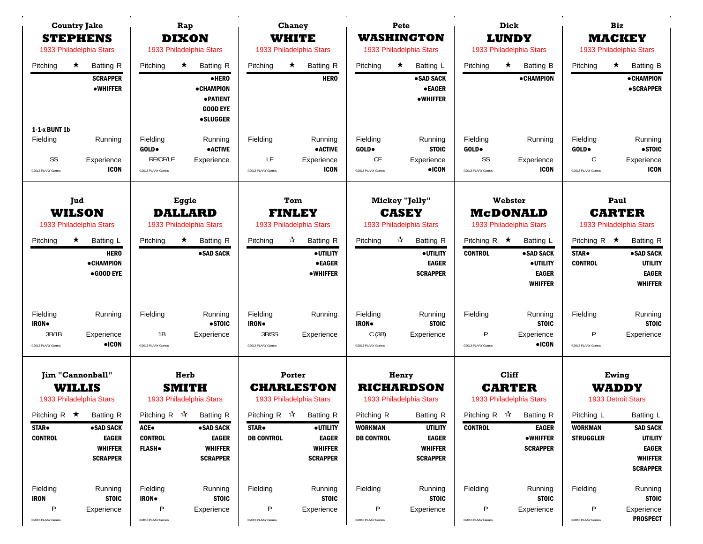| <b>Country Jake</b><br><b>STEPHENS</b>                              |                                                                    | Rap<br><b>DIXON</b>                                            |                                                                                                           |                                                        | Chaney<br><b>WHITE</b>                                                                                 |                                                                        | Pete<br>WASHINGTON                                                                          |                                                          | Dick<br><b>LUNDY</b>                                                                          |                                                       | <b>Biz</b><br><b>MACKEY</b>                                                                         |
|---------------------------------------------------------------------|--------------------------------------------------------------------|----------------------------------------------------------------|-----------------------------------------------------------------------------------------------------------|--------------------------------------------------------|--------------------------------------------------------------------------------------------------------|------------------------------------------------------------------------|---------------------------------------------------------------------------------------------|----------------------------------------------------------|-----------------------------------------------------------------------------------------------|-------------------------------------------------------|-----------------------------------------------------------------------------------------------------|
| 1933 Philadelphia Stars<br>Pitching<br>$\star$                      | <b>Batting R</b><br><b>SCRAPPER</b><br><b>•WHIFFER</b>             | 1933 Philadelphia Stars<br>Pitching<br>$\star$                 | <b>Batting R</b><br>•HERO<br>• CHAMPION<br><b>• PATIENT</b><br><b>GOOD EYE</b><br><b>•SLUGGER</b>         | Pitching                                               | 1933 Philadelphia Stars<br>$\star$<br><b>Batting R</b><br><b>HERO</b>                                  | Pitching                                                               | 1933 Philadelphia Stars<br>$\star$<br>Batting L<br>• SAD SACK<br><b>•EAGER</b><br>• WHIFFER | Pitching                                                 | 1933 Philadelphia Stars<br>$\star$<br><b>Batting B</b><br><b>•CHAMPION</b>                    | Pitching                                              | 1933 Philadelphia Stars<br>$\star$<br><b>Batting B</b><br><b>•CHAMPION</b><br><b>•SCRAPPER</b>      |
| 1-1-x BUNT 1b<br>Fielding<br>SS<br>©2013 PLAAY Games                | Running<br>Experience<br><b>ICON</b>                               | Fielding<br>GOLD.<br>RF/CF/LF<br><sup>©</sup> 2013 PLAAY Games | Running<br><b>•ACTIVE</b><br>Experience                                                                   | Fielding<br>LF<br>@2013 PLAAY Games                    | Running<br><b>•ACTIVE</b><br>Experience<br><b>ICON</b>                                                 | Fielding<br><b>GOLD</b> .<br><b>CF</b><br><sup>©2013</sup> PLAAY Games | Running<br><b>STOIC</b><br>Experience<br>$\bullet$ ICON                                     | Fielding<br>GOLD.<br>SS<br>@2013 PLAAY Games             | Running<br>Experience<br><b>ICON</b>                                                          | Fielding<br>GOLD.<br>C<br>@2013 PLAAY Games           | Running<br>•STOIC<br>Experience<br><b>ICON</b>                                                      |
| Jud<br>1933 Philadelphia Stars                                      | Eggie<br>WILSON<br><b>DALLARD</b><br>1933 Philadelphia Stars       |                                                                |                                                                                                           |                                                        | Tom<br><b>FINLEY</b><br>1933 Philadelphia Stars                                                        | <b>Mickey "Jelly"</b><br><b>CASEY</b><br>1933 Philadelphia Stars       |                                                                                             |                                                          | Webster<br><b>McDONALD</b><br>1933 Philadelphia Stars                                         | Paul<br><b>CARTER</b><br>1933 Philadelphia Stars      |                                                                                                     |
| $\star$<br>Pitching                                                 | Batting L<br><b>HERO</b><br><b>•CHAMPION</b><br>$\bullet$ GOOD EYE | $\star$<br>Pitching                                            | <b>Batting R</b><br>•SAD SACK                                                                             | Pitching                                               | $\frac{1}{\sqrt{2}}$<br><b>Batting R</b><br>· UTILITY<br><b>•EAGER</b><br><b>•WHIFFER</b>              | Pitching                                                               | ☆<br><b>Batting R</b><br>· UTILITY<br><b>EAGER</b><br><b>SCRAPPER</b>                       | Pitching R $\star$<br><b>CONTROL</b>                     | Batting L<br>•SAD SACK<br>· UTILITY<br><b>EAGER</b><br><b>WHIFFER</b>                         | Pitching R $\star$<br><b>STAR</b> .<br><b>CONTROL</b> | <b>Batting R</b><br>• SAD SACK<br><b>UTILITY</b><br><b>EAGER</b><br><b>WHIFFER</b>                  |
| Fielding<br><b>IRON</b><br>3B/1B<br>©2013 PLAAY Games               | Running<br>Experience<br>$\bullet$ ICON                            | Fielding<br>1B<br><sup>©</sup> 2013 PLAAY Games                | Running<br>•STOIC<br>Experience                                                                           | Fielding<br><b>IRON</b><br>3B/SS<br>@2013 PLAAY Games  | Running<br>Experience                                                                                  | Fielding<br><b>IRON</b><br>C(3B)<br><sup>©2013</sup> PLAAY Games       | Running<br><b>STOIC</b><br>Experience                                                       | Fielding<br>P<br>@2013 PLAAY Games                       | Running<br><b>STOIC</b><br>Experience<br>$\bullet$ ICON                                       | Fielding<br>P<br>@2013 PLAAY Games                    | Running<br><b>STOIC</b><br>Experience                                                               |
| <b>Jim "Cannonball"</b><br><b>WILLIS</b><br>1933 Philadelphia Stars |                                                                    | Herb<br><b>SMITH</b><br>1933 Philadelphia Stars                |                                                                                                           | Porter<br><b>CHARLESTON</b><br>1933 Philadelphia Stars |                                                                                                        | Henry<br><b>RICHARDSON</b><br>1933 Philadelphia Stars                  |                                                                                             | <b>Cliff</b><br><b>CARTER</b><br>1933 Philadelphia Stars |                                                                                               | Ewing<br>WADDY<br><b>1933 Detroit Stars</b>           |                                                                                                     |
| Pitching R $\star$ Batting R<br><b>STAR</b> .<br><b>CONTROL</b>     | • SAD SACK<br><b>EAGER</b><br><b>WHIFFER</b><br><b>SCRAPPER</b>    | ACE.<br><b>CONTROL</b><br><b>FLASH</b> .                       | Pitching R $\mathbf{\hat{x}}$ Batting R<br>•SAD SACK<br><b>EAGER</b><br><b>WHIFFER</b><br><b>SCRAPPER</b> | <b>STAR</b> .<br><b>DB CONTROL</b>                     | Pitching R $\vec{x}$ Batting R<br><b>•UTILITY</b><br><b>EAGER</b><br><b>WHIFFER</b><br><b>SCRAPPER</b> | Pitching R<br><b>WORKMAN</b><br><b>DB CONTROL</b>                      | <b>Batting R</b><br><b>UTILITY</b><br><b>EAGER</b><br><b>WHIFFER</b><br><b>SCRAPPER</b>     | <b>CONTROL</b>                                           | Pitching R $\mathbf{\hat{x}}$ Batting R<br><b>EAGER</b><br><b>•WHIFFER</b><br><b>SCRAPPER</b> | Pitching L<br><b>WORKMAN</b><br><b>STRUGGLER</b>      | Batting L<br><b>SAD SACK</b><br><b>UTILITY</b><br><b>EAGER</b><br><b>WHIFFER</b><br><b>SCRAPPER</b> |
| Fielding<br><b>IRON</b><br>$\sf P$<br>@2013 PLAAY Games             | Running<br><b>STOIC</b><br>Experience                              | Fielding<br><b>IRON</b><br>P<br>@2013 PLAAY Games              | Running<br><b>STOIC</b><br>Experience                                                                     | Fielding<br>P<br>@2013 PLAAY Games                     | Running<br><b>STOIC</b><br>Experience                                                                  | Fielding<br>Ρ<br>@2013 PLAAY Games                                     | Running<br><b>STOIC</b><br>Experience                                                       | Fielding<br>P<br>@2013 PLAAY Games                       | Running<br><b>STOIC</b><br>Experience                                                         | Fielding<br>P<br>@2013 PLAAY Games                    | Running<br><b>STOIC</b><br>Experience<br><b>PROSPECT</b>                                            |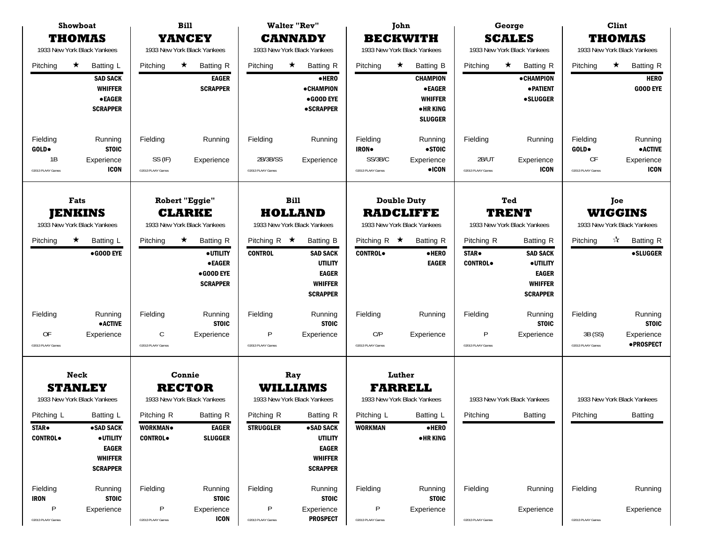|                                                   | <b>Showboat</b><br><b>THOMAS</b><br>1933 New York Black Yankees                                                                       | <b>Bill</b><br><b>YANCEY</b><br>1933 New York Black Yankees |                                                                                           |                                                              | <b>Walter "Rev"</b><br>John<br><b>CANNADY</b><br><b>BECKWITH</b><br>1933 New York Black Yankees<br>1933 New York Black Yankees |                                                                       |                                                                                                                  |                                                   | <b>Clint</b><br>George<br><b>SCALES</b><br><b>THOMAS</b><br>1933 New York Black Yankees<br>1933 New York Black Yankees |                                                      |                                                                                                                     |  |
|---------------------------------------------------|---------------------------------------------------------------------------------------------------------------------------------------|-------------------------------------------------------------|-------------------------------------------------------------------------------------------|--------------------------------------------------------------|--------------------------------------------------------------------------------------------------------------------------------|-----------------------------------------------------------------------|------------------------------------------------------------------------------------------------------------------|---------------------------------------------------|------------------------------------------------------------------------------------------------------------------------|------------------------------------------------------|---------------------------------------------------------------------------------------------------------------------|--|
| Pitching                                          | $\star$<br>Batting L<br><b>SAD SACK</b><br><b>WHIFFER</b><br><b>•EAGER</b><br><b>SCRAPPER</b>                                         | Pitching                                                    | $\star$<br><b>Batting R</b><br><b>EAGER</b><br><b>SCRAPPER</b>                            | Pitching                                                     | $\star$<br><b>Batting R</b><br>·HERO<br><b>•CHAMPION</b><br>•GOOD EYE<br><b>•SCRAPPER</b>                                      | Pitching                                                              | $\star$<br><b>Batting B</b><br><b>CHAMPION</b><br><b>•EAGER</b><br><b>WHIFFER</b><br>• HR KING<br><b>SLUGGER</b> | Pitching                                          | $\star$<br><b>Batting R</b><br><b>•CHAMPION</b><br>• PATIENT<br><b>•SLUGGER</b>                                        | Pitching                                             | $\star$<br><b>Batting R</b><br><b>HERO</b><br><b>GOOD EYE</b>                                                       |  |
| Fielding<br>GOLD.<br>1B<br>@2013 PLAAY Games      | Running<br><b>STOIC</b><br>Experience<br><b>ICON</b>                                                                                  | Fielding<br>SS (IF)<br>@2013 PLAAY Games                    | Running<br>Experience                                                                     | Fielding<br>2B/3B/SS<br>@2013 PLAAY Games                    | Running<br>Experience                                                                                                          | Fielding<br>IRON.<br>SS/3B/C<br>@2013 PLAAY Games                     | Running<br>• STOIC<br>Experience<br>$\bullet$ ICON                                                               | Fielding<br>2B/UT<br>@2013 PLAAY Games            | Running<br>Experience<br><b>ICON</b>                                                                                   | Fielding<br>GOLD.<br>CF<br>@2013 PLAAY Games         | Running<br><b>•ACTIVE</b><br>Experience<br><b>ICON</b>                                                              |  |
|                                                   | <b>Fats</b><br><b>Robert "Eggie"</b><br><b>JENKINS</b><br><b>CLARKE</b><br>1933 New York Black Yankees<br>1933 New York Black Yankees |                                                             |                                                                                           | <b>Bill</b><br><b>HOLLAND</b><br>1933 New York Black Yankees |                                                                                                                                | <b>Double Duty</b><br><b>RADCLIFFE</b><br>1933 New York Black Yankees |                                                                                                                  |                                                   | Ted<br><b>TRENT</b><br>1933 New York Black Yankees                                                                     |                                                      | Joe<br><b>WIGGINS</b><br>1933 New York Black Yankees<br>$\frac{1}{\sqrt{2}}$<br><b>Batting R</b><br><b>•SLUGGER</b> |  |
| Pitching                                          | $\star$<br>Batting L<br>•GOOD EYE                                                                                                     | Pitching                                                    | $\star$<br><b>Batting R</b><br>· UTILITY<br><b>•EAGER</b><br>•GOOD EYE<br><b>SCRAPPER</b> | Pitching R $\star$<br><b>CONTROL</b>                         | <b>Batting B</b><br><b>SAD SACK</b><br><b>UTILITY</b><br><b>EAGER</b><br><b>WHIFFER</b><br><b>SCRAPPER</b>                     | Pitching R $\star$<br><b>CONTROL</b>                                  | <b>Batting R</b><br>$\bullet$ HERO<br><b>EAGER</b>                                                               | Pitching R<br>STAR <sup>.</sup><br><b>CONTROL</b> | Batting R<br><b>SAD SACK</b><br><b>•UTILITY</b><br><b>EAGER</b><br><b>WHIFFER</b><br><b>SCRAPPER</b>                   | Pitching                                             |                                                                                                                     |  |
| Fielding<br>0F<br>©2013 PLAAY Games               | Running<br><b>•ACTIVE</b><br>Experience                                                                                               | Fielding<br>C<br><sup>©</sup> 2013 PLAAY Games              | Running<br><b>STOIC</b><br>Experience                                                     | Fielding<br>P<br>@2013 PLAAY Games                           | Running<br><b>STOIC</b><br>Experience                                                                                          | Fielding<br>C/P<br>@2013 PLAAY Games                                  | Running<br>Experience                                                                                            | Fielding<br>P<br>@2013 PLAAY Games                | Running<br><b>STOIC</b><br>Experience                                                                                  | Fielding<br>3B (SS)<br><sup>©</sup> 2013 PLAAY Games | Running<br><b>STOIC</b><br>Experience<br>·PROSPECT                                                                  |  |
| Pitching L                                        | <b>Neck</b><br><b>STANLEY</b><br>1933 New York Black Yankees<br>Batting L                                                             | Pitching R                                                  | Connie<br><b>RECTOR</b><br>1933 New York Black Yankees<br><b>Batting R</b>                | Pitching R                                                   | Ray<br>WILLIAMS<br>1933 New York Black Yankees<br><b>Batting R</b>                                                             | Pitching L                                                            | Luther<br><b>FARRELL</b><br>1933 New York Black Yankees<br>Batting L                                             | Pitching                                          | 1933 New York Black Yankees<br>Batting                                                                                 | 1933 New York Black Yankees<br>Pitching<br>Batting   |                                                                                                                     |  |
| <b>STAR</b> .<br><b>CONTROL</b>                   | • SAD SACK<br>· UTILITY<br><b>EAGER</b><br><b>WHIFFER</b><br><b>SCRAPPER</b>                                                          | <b>WORKMAN</b> .<br><b>CONTROL</b>                          | <b>EAGER</b><br><b>SLUGGER</b>                                                            | <b>STRUGGLER</b>                                             | •SAD SACK<br><b>UTILITY</b><br><b>EAGER</b><br><b>WHIFFER</b><br><b>SCRAPPER</b>                                               | <b>WORKMAN</b>                                                        | •HERO<br>• HR KING                                                                                               |                                                   |                                                                                                                        |                                                      |                                                                                                                     |  |
| Fielding<br><b>IRON</b><br>P<br>@2013 PLAAY Games | Running<br><b>STOIC</b><br>Experience                                                                                                 | Fielding<br>P<br><sup>©</sup> 2013 PLAAY Games              | Running<br><b>STOIC</b><br>Experience<br><b>ICON</b>                                      | Fielding<br>P<br>@2013 PLAAY Games                           | Running<br><b>STOIC</b><br>Experience<br><b>PROSPECT</b>                                                                       | Fielding<br>P<br>@2013 PLAAY Games                                    | Running<br><b>STOIC</b><br>Experience                                                                            | Fielding<br>@2013 PLAAY Games                     | Running<br>Experience                                                                                                  | Fielding<br>@2013 PLAAY Games                        | Running<br>Experience                                                                                               |  |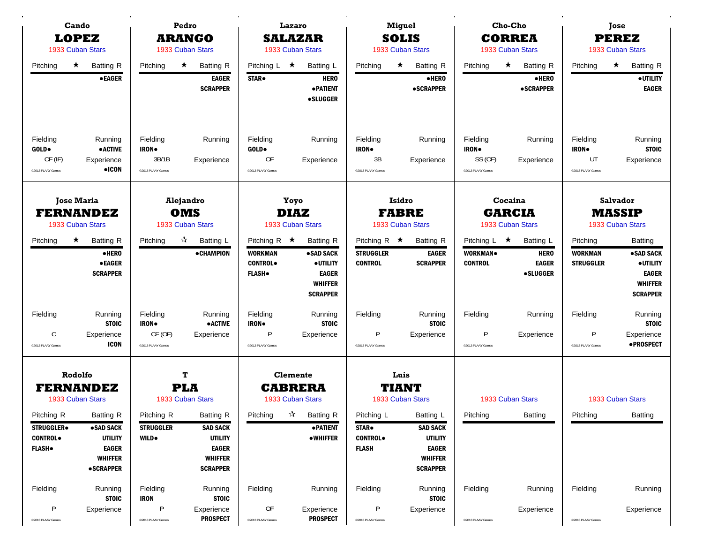| Cando<br><b>LOPEZ</b><br>1933 Cuban Stars                                                                |                                                                                                        | Pedro<br><b>ARANGO</b><br>1933 Cuban Stars                         |                                                                                                            | Lazaro<br><b>SALAZAR</b><br>1933 Cuban Stars                               |                                                                                                 |                                                                | <b>Miguel</b><br><b>SOLIS</b><br>1933 Cuban Stars                                                   |                                                   | Cho-Cho<br>Jose<br><b>CORREA</b><br><b>PEREZ</b><br>1933 Cuban Stars<br>1933 Cuban Stars |                                                          |                                                                                                |
|----------------------------------------------------------------------------------------------------------|--------------------------------------------------------------------------------------------------------|--------------------------------------------------------------------|------------------------------------------------------------------------------------------------------------|----------------------------------------------------------------------------|-------------------------------------------------------------------------------------------------|----------------------------------------------------------------|-----------------------------------------------------------------------------------------------------|---------------------------------------------------|------------------------------------------------------------------------------------------|----------------------------------------------------------|------------------------------------------------------------------------------------------------|
| $\star$<br>Pitching                                                                                      | <b>Batting R</b><br><b>•EAGER</b>                                                                      | Pitching                                                           | $\star$<br><b>Batting R</b><br><b>EAGER</b><br><b>SCRAPPER</b>                                             | Pitching $L \star$<br><b>STAR</b> .                                        | Batting L<br><b>HERO</b><br><b>• PATIENT</b><br><b>•SLUGGER</b>                                 | Pitching                                                       | ★<br><b>Batting R</b><br>•HERO<br><b>•SCRAPPER</b>                                                  | Pitching                                          | $\star$<br><b>Batting R</b><br>$\bullet$ HERO<br><b>•SCRAPPER</b>                        | Pitching                                                 | $\star$<br><b>Batting R</b><br>· UTILITY<br><b>EAGER</b>                                       |
| Fielding<br>GOLD.<br>CF (IF)<br>@2013 PLAAY Games                                                        | Running<br><b>•ACTIVE</b><br>Experience<br>$\bullet$ ICON                                              | Fielding<br><b>IRON</b><br>3B/1B<br><sup>©</sup> 2013 PLAAY Games  | Running<br>Experience                                                                                      | Fielding<br>GOLD.<br>OF<br>@2013 PLAAY Games                               | Running<br>Experience                                                                           | Fielding<br><b>IRON</b><br>3B<br><sup>©</sup> 2013 PLAAY Games | Running<br>Experience                                                                               | Fielding<br>IRON.<br>SS (OF)<br>@2013 PLAAY Games | Running<br>Experience                                                                    | Fielding<br>IRON.<br>UT<br><sup>©</sup> 2013 PLAAY Games | Running<br><b>STOIC</b><br>Experience                                                          |
| <b>Jose Maria</b><br>Alejandro<br><b>OMS</b><br><b>FERNANDEZ</b><br>1933 Cuban Stars<br>1933 Cuban Stars |                                                                                                        | Yoyo<br><b>DIAZ</b><br>1933 Cuban Stars                            |                                                                                                            | Isidro<br><b>FABRE</b><br>1933 Cuban Stars                                 |                                                                                                 |                                                                | Cocaina<br><b>GARCIA</b><br>1933 Cuban Stars                                                        | Salvador<br><b>MASSIP</b><br>1933 Cuban Stars     |                                                                                          |                                                          |                                                                                                |
| Pitching<br>$\star$                                                                                      | <b>Batting R</b><br>·HERO<br><b>•EAGER</b><br><b>SCRAPPER</b>                                          | Pitching                                                           | ☆<br>Batting L<br><b>• CHAMPION</b>                                                                        | Pitching R $\star$<br><b>WORKMAN</b><br><b>CONTROL</b> .<br><b>FLASH</b> . | <b>Batting R</b><br>•SAD SACK<br>· UTILITY<br><b>EAGER</b><br><b>WHIFFER</b><br><b>SCRAPPER</b> | Pitching R $\star$<br><b>STRUGGLER</b><br><b>CONTROL</b>       | <b>Batting R</b><br><b>EAGER</b><br><b>SCRAPPER</b>                                                 | Pitching $L \star$<br>WORKMAN.<br><b>CONTROL</b>  | Batting L<br><b>HERO</b><br><b>EAGER</b><br><b>•SLUGGER</b>                              | Pitching<br><b>WORKMAN</b><br><b>STRUGGLER</b>           | <b>Batting</b><br>• SAD SACK<br>· UTILITY<br><b>EAGER</b><br><b>WHIFFER</b><br><b>SCRAPPER</b> |
| Fielding<br>C<br>@2013 PLAAY Games                                                                       | Running<br><b>STOIC</b><br>Experience<br><b>ICON</b>                                                   | Fielding<br><b>IRON</b><br>CF(OF)<br><sup>©</sup> 2013 PLAAY Games | Running<br><b>•ACTIVE</b><br>Experience                                                                    | Fielding<br><b>IRON</b><br>P<br>©2013 PLAAY Games                          | Running<br><b>STOIC</b><br>Experience                                                           | Fielding<br>P<br>@2013 PLAAY Games                             | Running<br><b>STOIC</b><br>Experience                                                               | Fielding<br>P<br>@2013 PLAAY Games                | Running<br>Experience                                                                    | Fielding<br>P<br>@2013 PLAAY Games                       | Running<br><b>STOIC</b><br>Experience<br>· PROSPECT                                            |
|                                                                                                          | Rodolfo<br>т<br><b>FERNANDEZ</b><br><b>PLA</b><br>1933 Cuban Stars<br>1933 Cuban Stars                 |                                                                    |                                                                                                            | <b>Clemente</b><br><b>CABRERA</b><br>1933 Cuban Stars                      |                                                                                                 | Luis<br><b>TIANT</b><br>1933 Cuban Stars                       |                                                                                                     | 1933 Cuban Stars                                  |                                                                                          | 1933 Cuban Stars                                         |                                                                                                |
| Pitching R<br><b>STRUGGLER</b> .<br><b>CONTROL</b><br><b>FLASH</b> .                                     | <b>Batting R</b><br>• SAD SACK<br><b>UTILITY</b><br><b>EAGER</b><br><b>WHIFFER</b><br><b>•SCRAPPER</b> | Pitching R<br><b>STRUGGLER</b><br><b>WILD</b> .                    | <b>Batting R</b><br><b>SAD SACK</b><br><b>UTILITY</b><br><b>EAGER</b><br><b>WHIFFER</b><br><b>SCRAPPER</b> |                                                                            | Pitching $\mathbf{\hat{x}}$ Batting R<br><b>• PATIENT</b><br><b>•WHIFFER</b>                    | Pitching L<br><b>STAR</b> .<br><b>CONTROL</b><br><b>FLASH</b>  | Batting L<br><b>SAD SACK</b><br><b>UTILITY</b><br><b>EAGER</b><br><b>WHIFFER</b><br><b>SCRAPPER</b> | Pitching                                          | Batting                                                                                  | Pitching                                                 | Batting                                                                                        |
| Fielding<br>P<br>@2013 PLAAY Games                                                                       | Running<br><b>STOIC</b><br>Experience                                                                  | Fielding<br><b>IRON</b><br>P<br><sup>©</sup> 2013 PLAAY Games      | Running<br><b>STOIC</b><br>Experience<br><b>PROSPECT</b>                                                   | Fielding<br>$\mathsf{OF}% _{T}$<br>@2013 PLAAY Games                       | Running<br>Experience<br><b>PROSPECT</b>                                                        | Fielding<br>P<br>@2013 PLAAY Games                             | Running<br><b>STOIC</b><br>Experience                                                               | Fielding<br>@2013 PLAAY Games                     | Running<br>Experience                                                                    | Fielding<br>@2013 PLAAY Games                            | Running<br>Experience                                                                          |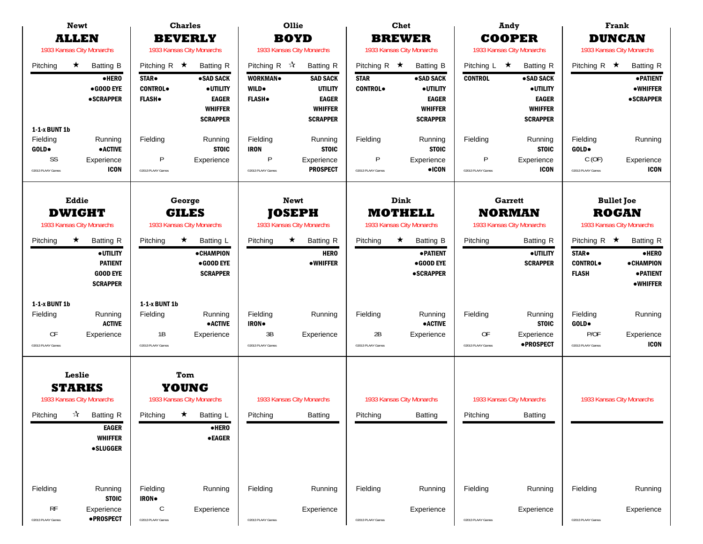| <b>Newt</b>                                                   |                                                                                                            |                                                                  | <b>Charles</b>                                                              | Ollie                                                     |                                                                                        |                                                     | <b>Chet</b>                                                                               |                                                              | <b>Andy</b>                                                                 | Frank                                                                 |                                                                                               |  |
|---------------------------------------------------------------|------------------------------------------------------------------------------------------------------------|------------------------------------------------------------------|-----------------------------------------------------------------------------|-----------------------------------------------------------|----------------------------------------------------------------------------------------|-----------------------------------------------------|-------------------------------------------------------------------------------------------|--------------------------------------------------------------|-----------------------------------------------------------------------------|-----------------------------------------------------------------------|-----------------------------------------------------------------------------------------------|--|
| <b>ALLEN</b><br>1933 Kansas City Monarchs                     |                                                                                                            |                                                                  | <b>BEVERLY</b><br>1933 Kansas City Monarchs                                 | <b>BOYD</b><br>1933 Kansas City Monarchs                  |                                                                                        |                                                     | <b>BREWER</b><br>1933 Kansas City Monarchs                                                |                                                              | <b>COOPER</b><br>1933 Kansas City Monarchs                                  |                                                                       | <b>DUNCAN</b><br>1933 Kansas City Monarchs                                                    |  |
| Pitching<br>$\star$                                           | <b>Batting B</b>                                                                                           | Pitching R $\star$                                               | <b>Batting R</b>                                                            | Pitching R $\sqrt{\lambda}$                               | <b>Batting R</b>                                                                       | Pitching R $\star$                                  | <b>Batting B</b>                                                                          | Pitching $L \star$                                           | <b>Batting R</b>                                                            | Pitching R $\star$                                                    | <b>Batting R</b>                                                                              |  |
|                                                               | •HERO<br>•GOOD EYE<br>• SCRAPPER                                                                           | <b>STAR</b> .<br><b>CONTROL</b><br><b>FLASH</b> .                | •SAD SACK<br>· UTILITY<br><b>EAGER</b><br><b>WHIFFER</b><br><b>SCRAPPER</b> | WORKMAN.<br><b>WILD</b> .<br><b>FLASH</b> .               | <b>SAD SACK</b><br><b>UTILITY</b><br><b>EAGER</b><br><b>WHIFFER</b><br><b>SCRAPPER</b> | <b>STAR</b><br><b>CONTROL</b>                       | • SAD SACK<br>· UTILITY<br><b>EAGER</b><br><b>WHIFFER</b><br><b>SCRAPPER</b>              | <b>CONTROL</b>                                               | •SAD SACK<br>· UTILITY<br><b>EAGER</b><br><b>WHIFFER</b><br><b>SCRAPPER</b> |                                                                       | <b>• PATIENT</b><br><b>•WHIFFER</b><br><b>•SCRAPPER</b>                                       |  |
| 1-1-x BUNT 1b<br>Fielding<br>GOLD.<br>SS<br>@2013 PLAAY Games | Running<br><b>•ACTIVE</b><br>Experience<br><b>ICON</b>                                                     | Fielding<br>Ρ<br><sup>©</sup> 2013 PLAAY Games                   | Running<br><b>STOIC</b><br>Experience                                       | Fielding<br><b>IRON</b><br>P<br>©2013 PLAAY Games         | Running<br><b>STOIC</b><br>Experience<br><b>PROSPECT</b>                               | Fielding<br>P<br><sup>©</sup> 2013 PLAAY Games      | Running<br><b>STOIC</b><br>Experience<br>$\bullet$ ICON                                   | Fielding<br>P<br>@2013 PLAAY Games                           | Running<br><b>STOIC</b><br>Experience<br><b>ICON</b>                        | Fielding<br>GOLD.<br>C(OF)<br>@2013 PLAAY Games                       | Running<br>Experience<br><b>ICON</b>                                                          |  |
|                                                               | Eddie<br>George<br><b>DWIGHT</b><br><b>GILES</b><br>1933 Kansas City Monarchs<br>1933 Kansas City Monarchs |                                                                  |                                                                             | <b>Newt</b><br><b>JOSEPH</b><br>1933 Kansas City Monarchs |                                                                                        | Dink<br><b>MOTHELL</b><br>1933 Kansas City Monarchs |                                                                                           | <b>Garrett</b><br><b>NORMAN</b><br>1933 Kansas City Monarchs |                                                                             | <b>Bullet Joe</b><br><b>ROGAN</b><br>1933 Kansas City Monarchs        |                                                                                               |  |
| $\star$<br>Pitching                                           | <b>Batting R</b><br>· UTILITY<br><b>PATIENT</b><br><b>GOOD EYE</b><br><b>SCRAPPER</b>                      | Pitching                                                         | $\star$<br>Batting L<br>• CHAMPION<br>$\bullet$ GOOD EYE<br><b>SCRAPPER</b> | Pitching                                                  | $\star$<br><b>Batting R</b><br><b>HERO</b><br><b>•WHIFFER</b>                          | Pitching                                            | $\star$<br><b>Batting B</b><br><b>• PATIENT</b><br>$\bullet$ GOOD EYE<br><b>•SCRAPPER</b> | Pitching                                                     | <b>Batting R</b><br>· UTILITY<br><b>SCRAPPER</b>                            | Pitching R $\star$<br><b>STAR</b> .<br><b>CONTROL</b><br><b>FLASH</b> | <b>Batting R</b><br>$\bullet$ HERO<br><b>•CHAMPION</b><br><b>• PATIENT</b><br><b>•WHIFFER</b> |  |
| 1-1-x BUNT 1b<br>Fielding<br><b>CF</b><br>©2013 PLAAY Games   | Running<br><b>ACTIVE</b><br>Experience                                                                     | 1-1-x BUNT 1b<br>Fielding<br>1B<br><sup>©</sup> 2013 PLAAY Games | Running<br><b>•ACTIVE</b><br>Experience                                     | Fielding<br><b>IRON</b><br>3B<br>@2013 PLAAY Games        | Running<br>Experience                                                                  | Fielding<br>2B<br>@2013 PLAAY Games                 | Running<br><b>•ACTIVE</b><br>Experience                                                   | Fielding<br>0F<br>@2013 PLAAY Games                          | Running<br><b>STOIC</b><br>Experience<br><b>•PROSPECT</b>                   | Fielding<br>GOLD.<br>P/OF<br>@2013 PLAAY Games                        | Running<br>Experience<br><b>ICON</b>                                                          |  |
| Leslie<br><b>STARKS</b><br>1933 Kansas City Monarchs          |                                                                                                            | Tom<br><b>YOUNG</b><br>1933 Kansas City Monarchs                 |                                                                             |                                                           | 1933 Kansas City Monarchs                                                              |                                                     | 1933 Kansas City Monarchs                                                                 |                                                              | 1933 Kansas City Monarchs                                                   |                                                                       | 1933 Kansas City Monarchs                                                                     |  |
| Pitching $\mathbb{\hat{X}}$ Batting R                         | <b>EAGER</b><br><b>WHIFFER</b><br><b>•SLUGGER</b>                                                          | Pitching                                                         | ★ Batting L<br>$\bullet$ HERO<br><b>•EAGER</b>                              | Pitching                                                  | <b>Batting</b>                                                                         | Pitching                                            | Batting                                                                                   | Pitching                                                     | <b>Batting</b>                                                              |                                                                       |                                                                                               |  |
| Fielding                                                      | Running<br><b>STOIC</b>                                                                                    | Fielding<br>IRON.                                                | Running                                                                     | Fielding                                                  | Running                                                                                | Fielding                                            | Running                                                                                   | Fielding                                                     | Running                                                                     | Fielding                                                              | Running                                                                                       |  |
| $\mathsf{RF}$<br>@2013 PLAAY Games                            | Experience<br>·PROSPECT                                                                                    | C<br>2013 PLAAY Games                                            | Experience                                                                  | @2013 PLAAY Games                                         | Experience                                                                             | @2013 PLAAY Games                                   | Experience                                                                                | @2013 PLAAY Games                                            | Experience                                                                  | @2013 PLAAY Games                                                     | Experience                                                                                    |  |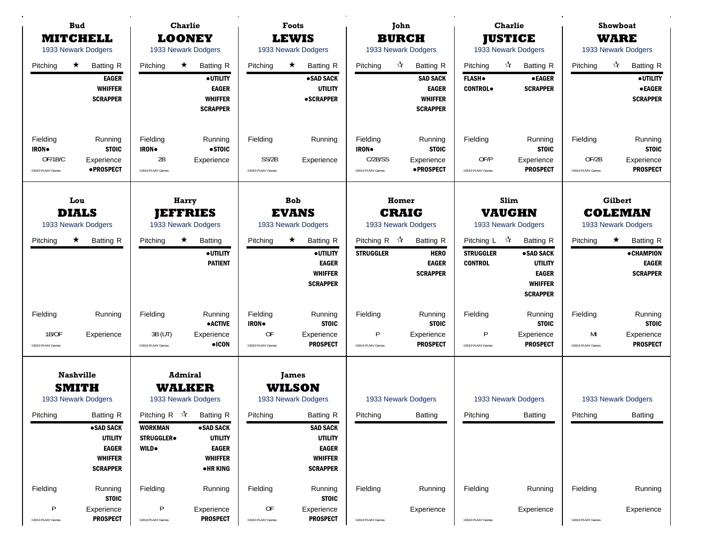| <b>Bud</b><br><b>MITCHELL</b>                                                                                          | <b>Charlie</b><br><b>LOONEY</b>                                                                                                                                | Foots<br><b>LEWIS</b>                                                                                                     | John<br><b>BURCH</b>                                                                                                                                | <b>Charlie</b><br><b>JUSTICE</b>                                                                                                                                   | <b>Showboat</b><br><b>WARE</b>                                                                                               |  |
|------------------------------------------------------------------------------------------------------------------------|----------------------------------------------------------------------------------------------------------------------------------------------------------------|---------------------------------------------------------------------------------------------------------------------------|-----------------------------------------------------------------------------------------------------------------------------------------------------|--------------------------------------------------------------------------------------------------------------------------------------------------------------------|------------------------------------------------------------------------------------------------------------------------------|--|
| 1933 Newark Dodgers<br>Pitching<br>$\star$<br><b>Batting R</b><br><b>EAGER</b><br><b>WHIFFER</b><br><b>SCRAPPER</b>    | 1933 Newark Dodgers<br>Pitching<br>★<br><b>Batting R</b><br>· UTILITY<br><b>EAGER</b><br><b>WHIFFER</b><br><b>SCRAPPER</b>                                     | 1933 Newark Dodgers<br><b>Batting R</b><br>Pitching<br>$\star$<br>•SAD SACK<br><b>UTILITY</b><br><b>•SCRAPPER</b>         | 1933 Newark Dodgers<br>$\frac{1}{\sqrt{2}}$<br><b>Batting R</b><br>Pitching<br><b>SAD SACK</b><br><b>EAGER</b><br><b>WHIFFER</b><br><b>SCRAPPER</b> | 1933 Newark Dodgers<br>$\mathbb{X}$<br><b>Batting R</b><br>Pitching<br><b>FLASH</b> .<br><b>•EAGER</b><br><b>CONTROL</b><br><b>SCRAPPER</b>                        | 1933 Newark Dodgers<br>$\frac{1}{\sqrt{2}}$<br><b>Batting R</b><br>Pitching<br>· UTILITY<br><b>•EAGER</b><br><b>SCRAPPER</b> |  |
| Fielding<br>Running<br>IRON.<br><b>STOIC</b><br>OF/1B/C<br>Experience<br>• PROSPECT<br>@2013 PLAAY Games               | Fielding<br>Running<br>•STOIC<br>IRON.<br>2B<br>Experience<br><sup>©</sup> 2013 PLAAY Games                                                                    | Fielding<br>Running<br>SS/2B<br>Experience<br>@2013 PLAAY Games                                                           | Fielding<br>Running<br><b>STOIC</b><br>IRON.<br>C/2B/SS<br>Experience<br><b>•PROSPECT</b><br>@2013 PLAAY Games                                      | Fielding<br>Running<br><b>STOIC</b><br>OF/P<br>Experience<br><b>PROSPECT</b><br>@2013 PLAAY Games                                                                  | Fielding<br>Running<br><b>STOIC</b><br>OF/2B<br>Experience<br><b>PROSPECT</b><br>@2013 PLAAY Games                           |  |
| Lou<br>Harry<br><b>DIALS</b><br><b>JEFFRIES</b><br>1933 Newark Dodgers<br>1933 Newark Dodgers                          |                                                                                                                                                                | <b>Bob</b><br><b>EVANS</b><br>1933 Newark Dodgers                                                                         | Homer<br><b>CRAIG</b><br>1933 Newark Dodgers                                                                                                        | <b>Slim</b><br><b>VAUGHN</b><br>1933 Newark Dodgers                                                                                                                | <b>Gilbert</b><br><b>COLEMAN</b><br>1933 Newark Dodgers                                                                      |  |
| $\star$<br><b>Batting R</b><br>Pitching                                                                                | $\star$<br>Batting<br>Pitching<br>· UTILITY<br><b>PATIENT</b>                                                                                                  | Pitching<br>$\star$<br><b>Batting R</b><br>· UTILITY<br><b>EAGER</b><br><b>WHIFFER</b><br><b>SCRAPPER</b>                 | Pitching R $\sqrt{\lambda}$<br><b>Batting R</b><br><b>STRUGGLER</b><br><b>HERO</b><br><b>EAGER</b><br><b>SCRAPPER</b>                               | Pitching L $\sqrt{\lambda}$<br><b>Batting R</b><br><b>STRUGGLER</b><br>•SAD SACK<br><b>CONTROL</b><br>UTILITY<br><b>EAGER</b><br><b>WHIFFER</b><br><b>SCRAPPER</b> | $\star$<br><b>Batting R</b><br>Pitching<br><b>• CHAMPION</b><br><b>EAGER</b><br><b>SCRAPPER</b>                              |  |
| Fielding<br>Running<br>1B/OF<br>Experience<br>@2013 PLAAY Games                                                        | Fielding<br>Running<br><b>•ACTIVE</b><br>3B (UT)<br>Experience<br>$\bullet$ ICON<br>@2013 PLAAY Games                                                          | Fielding<br>Running<br><b>STOIC</b><br><b>IRON</b><br><b>OF</b><br>Experience<br><b>PROSPECT</b><br>@2013 PLAAY Games     | Fielding<br>Running<br><b>STOIC</b><br>P<br>Experience<br><b>PROSPECT</b><br>@2013 PLAAY Games                                                      | Fielding<br>Running<br><b>STOIC</b><br>P<br>Experience<br><b>PROSPECT</b><br>@2013 PLAAY Games                                                                     | Fielding<br>Running<br><b>STOIC</b><br>MI<br>Experience<br><b>PROSPECT</b><br>@2013 PLAAY Games                              |  |
| <b>Nashville</b><br><b>SMITH</b><br>1933 Newark Dodgers<br>Pitching<br><b>Batting R</b><br>·SAD SACK<br><b>UTILITY</b> | <b>Admiral</b><br><b>WALKER</b><br>1933 Newark Dodgers<br>Pitching R $\vec{x}$ Batting R<br><b>WORKMAN</b><br>•SAD SACK<br><b>UTILITY</b><br><b>STRUGGLER®</b> | <b>James</b><br><b>WILSON</b><br>1933 Newark Dodgers<br>Pitching<br><b>Batting R</b><br><b>SAD SACK</b><br><b>UTILITY</b> | 1933 Newark Dodgers<br>Pitching<br>Batting                                                                                                          | 1933 Newark Dodgers<br>Pitching<br>Batting                                                                                                                         | 1933 Newark Dodgers<br>Pitching<br><b>Batting</b>                                                                            |  |
| <b>EAGER</b><br><b>WHIFFER</b><br><b>SCRAPPER</b><br>Fielding<br>Running                                               | <b>WILD</b> .<br><b>EAGER</b><br><b>WHIFFER</b><br><b>• HR KING</b><br>Fielding<br>Running                                                                     | <b>EAGER</b><br><b>WHIFFER</b><br><b>SCRAPPER</b><br>Fielding<br>Running                                                  | Fielding<br>Running                                                                                                                                 | Fielding<br>Running                                                                                                                                                | Fielding<br>Running                                                                                                          |  |
| <b>STOIC</b><br>P<br>Experience<br><b>PROSPECT</b><br>@2013 PLAAY Games                                                | P<br>Experience<br><b>PROSPECT</b><br>@2013 PLAAY Games                                                                                                        | <b>STOIC</b><br>OF<br>Experience<br><b>PROSPECT</b><br>@2013 PLAAY Games                                                  | Experience<br>@2013 PLAAY Games                                                                                                                     | Experience<br>@2013 PLAAY Games                                                                                                                                    | Experience<br>@2013 PLAAY Games                                                                                              |  |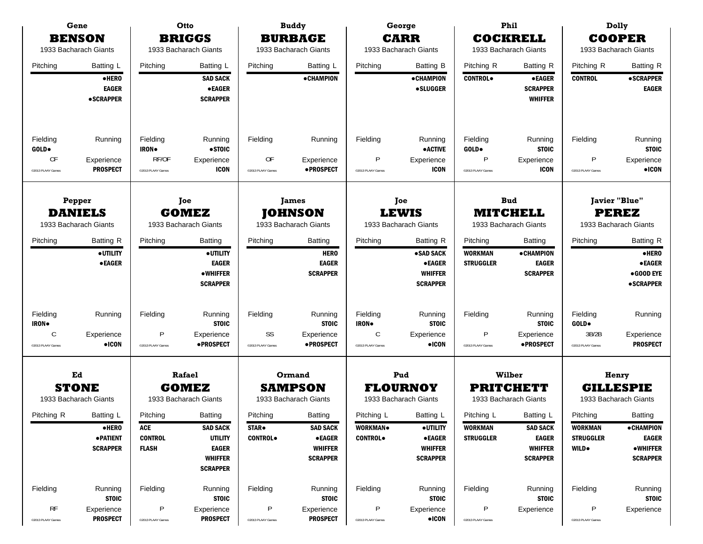| Gene<br><b>BENSON</b><br>1933 Bacharach Giants |                                                 | Otto<br><b>BRIGGS</b><br>1933 Bacharach Giants |                                                    |                                 | <b>Buddy</b><br>George<br><b>BURBAGE</b><br><b>CARR</b><br>1933 Bacharach Giants<br>1933 Bacharach Giants |                                  |                                                      | Phil<br><b>COCKRELL</b><br>1933 Bacharach Giants | <b>Dolly</b><br><b>COOPER</b><br>1933 Bacharach Giants |                                                        |                                                    |
|------------------------------------------------|-------------------------------------------------|------------------------------------------------|----------------------------------------------------|---------------------------------|-----------------------------------------------------------------------------------------------------------|----------------------------------|------------------------------------------------------|--------------------------------------------------|--------------------------------------------------------|--------------------------------------------------------|----------------------------------------------------|
| Pitching                                       | <b>Batting L</b><br>·HERO                       | Pitching                                       | Batting L<br><b>SAD SACK</b>                       | Pitching                        | <b>Batting L</b><br><b>•CHAMPION</b>                                                                      | Pitching                         | <b>Batting B</b><br><b>• CHAMPION</b>                | Pitching R<br><b>CONTROL</b>                     | <b>Batting R</b><br><b>•EAGER</b>                      | Pitching R<br><b>CONTROL</b>                           | <b>Batting R</b><br><b>•SCRAPPER</b>               |
|                                                | <b>EAGER</b><br><b>•SCRAPPER</b>                |                                                | <b>• EAGER</b><br><b>SCRAPPER</b>                  |                                 |                                                                                                           |                                  | <b>•SLUGGER</b>                                      |                                                  | <b>SCRAPPER</b><br><b>WHIFFER</b>                      |                                                        | <b>EAGER</b>                                       |
| Fielding<br>GOLD.                              | Running                                         | Fielding<br>IRON.                              | Running<br>• STOIC                                 | Fielding                        | Running                                                                                                   | Fielding                         | Running<br><b>•ACTIVE</b>                            | Fielding<br>GOLD.                                | Running<br><b>STOIC</b>                                | Fielding                                               | Running<br><b>STOIC</b>                            |
| CF<br>@2013 PLAAY Games                        | Experience<br><b>PROSPECT</b>                   | RF/OF<br>@2013 PLAAY Games                     | Experience<br><b>ICON</b>                          | 0F<br>@2013 PLAAY Games         | Experience<br>·PROSPECT                                                                                   | P<br>@2013 PLAAY Games           | Experience<br><b>ICON</b>                            | P<br>@2013 PLAAY Games                           | Experience<br><b>ICON</b>                              | P<br>@2013 PLAAY Games                                 | Experience<br>$\bullet$ ICON                       |
|                                                | Pepper<br>Joe<br><b>DANIELS</b><br><b>GOMEZ</b> |                                                |                                                    | <b>James</b><br><b>JOHNSON</b>  |                                                                                                           | Joe<br><b>LEWIS</b>              |                                                      |                                                  | <b>Bud</b><br><b>MITCHELL</b>                          | Javier "Blue"<br><b>PEREZ</b><br>1933 Bacharach Giants |                                                    |
| Pitching                                       | 1933 Bacharach Giants                           | Pitching                                       | 1933 Bacharach Giants<br><b>Batting</b>            | Pitching                        | 1933 Bacharach Giants                                                                                     | Pitching                         | 1933 Bacharach Giants                                |                                                  | 1933 Bacharach Giants                                  | Pitching                                               |                                                    |
|                                                | <b>Batting R</b><br>· UTILITY                   |                                                | · UTILITY                                          |                                 | <b>Batting</b><br><b>HERO</b>                                                                             |                                  | <b>Batting R</b><br>• SAD SACK                       | Pitching<br><b>WORKMAN</b>                       | <b>Batting</b><br><b>•CHAMPION</b>                     |                                                        | <b>Batting R</b><br>·HERO                          |
|                                                | <b>•EAGER</b>                                   |                                                | <b>EAGER</b><br><b>•WHIFFER</b><br><b>SCRAPPER</b> |                                 | <b>EAGER</b><br><b>SCRAPPER</b>                                                                           |                                  | $\bullet$ EAGER<br><b>WHIFFER</b><br><b>SCRAPPER</b> | <b>STRUGGLER</b>                                 | <b>EAGER</b><br><b>SCRAPPER</b>                        |                                                        | ●EAGER<br>●GOOD EYE<br>•SCRAPPER                   |
| Fielding<br><b>IRON</b>                        | Running                                         | Fielding                                       | Running<br><b>STOIC</b>                            | Fielding                        | Running<br><b>STOIC</b>                                                                                   | Fielding<br>IRON.                | Running<br><b>STOIC</b>                              | Fielding                                         | Running<br><b>STOIC</b>                                | Fielding<br>GOLD.                                      | Running                                            |
| C<br>@2013 PLAAY Games                         | Experience<br>$\bullet$ ICON                    | P<br>@2013 PLAAY Games                         | Experience<br>•PROSPECT                            | SS<br>©2013 PLAAY Games         | Experience<br>•PROSPECT                                                                                   | C<br>@2013 PLAAY Games           | Experience<br>$\bullet$ ICON                         | P<br>@2013 PLAAY Games                           | Experience<br>•PROSPECT                                | 3B/2B<br>@2013 PLAAY Games                             | Experience<br><b>PROSPECT</b>                      |
|                                                | Ed                                              |                                                | Rafael                                             | Ormand                          |                                                                                                           | Pud                              |                                                      |                                                  | <b>Wilber</b>                                          | Henry                                                  |                                                    |
|                                                | <b>STONE</b><br>1933 Bacharach Giants           |                                                | <b>GOMEZ</b><br>1933 Bacharach Giants              |                                 | <b>SAMPSON</b><br>1933 Bacharach Giants                                                                   |                                  | <b>FLOURNOY</b><br>1933 Bacharach Giants             |                                                  | <b>PRITCHETT</b><br>1933 Bacharach Giants              |                                                        | <b>GILLESPIE</b><br>1933 Bacharach Giants          |
|                                                | Pitching R Batting L                            | Pitching                                       | Batting                                            | Pitching                        | <b>Batting</b>                                                                                            | Pitching L                       | Batting L                                            | Pitching L                                       | Batting L                                              | Pitching                                               | Batting                                            |
|                                                | ·HERO<br><b>• PATIENT</b>                       | ACE                                            | <b>SAD SACK</b><br><b>UTILITY</b>                  | <b>STAR</b> .<br><b>CONTROL</b> | <b>SAD SACK</b><br><b>•EAGER</b>                                                                          | <b>WORKMAN</b><br><b>CONTROL</b> | · UTILITY<br><b>•EAGER</b>                           | <b>WORKMAN</b><br><b>STRUGGLER</b>               | <b>SAD SACK</b><br><b>EAGER</b>                        | <b>WORKMAN</b><br><b>STRUGGLER</b>                     | <b>• CHAMPION</b>                                  |
|                                                | <b>SCRAPPER</b>                                 | <b>CONTROL</b><br><b>FLASH</b>                 | <b>EAGER</b><br><b>WHIFFER</b><br><b>SCRAPPER</b>  |                                 | <b>WHIFFER</b><br><b>SCRAPPER</b>                                                                         |                                  | <b>WHIFFER</b><br><b>SCRAPPER</b>                    |                                                  | <b>WHIFFER</b><br><b>SCRAPPER</b>                      | <b>WILD</b>                                            | <b>EAGER</b><br><b>•WHIFFER</b><br><b>SCRAPPER</b> |
| Fielding                                       | Running<br><b>STOIC</b>                         | Fielding                                       | Running<br><b>STOIC</b>                            | Fielding                        | Running<br><b>STOIC</b>                                                                                   | Fielding                         | Running<br><b>STOIC</b>                              | Fielding                                         | Running<br><b>STOIC</b>                                | Fielding                                               | Running<br><b>STOIC</b>                            |
| RF<br>@2013 PLAAY Games                        | Experience<br><b>PROSPECT</b>                   | P<br><sup>©</sup> 2013 PLAAY Games             | Experience<br><b>PROSPECT</b>                      | P<br>@2013 PLAAY Games          | Experience<br><b>PROSPECT</b>                                                                             | P<br>@2013 PLAAY Games           | Experience<br>$\bullet$ ICON                         | P<br>@2013 PLAAY Games                           | Experience                                             | P<br>@2013 PLAAY Games                                 | Experience                                         |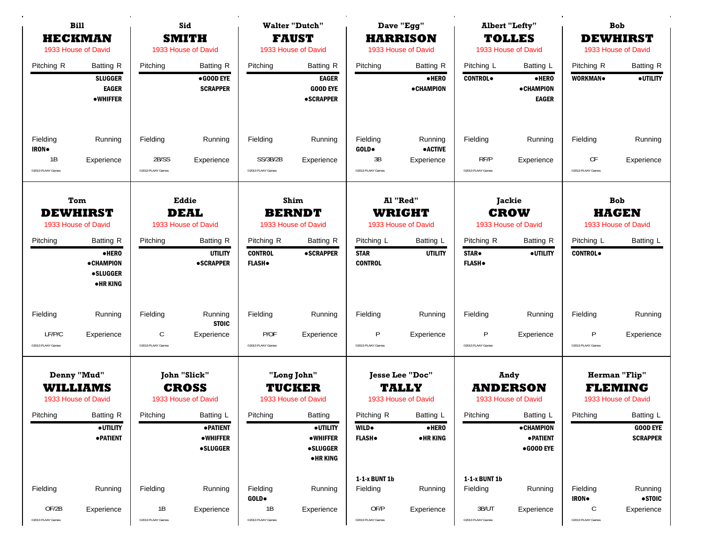| <b>Bill</b><br><b>HECKMAN</b><br>1933 House of David |                                                                                                              | Sid<br><b>SMITH</b><br>1933 House of David         |                                                                     |                                                     | <b>Walter "Dutch"</b><br><b>FAUST</b><br>1933 House of David                        | Dave "Egg"<br>HARRISON<br>1933 House of David                 |                                               |                                                   | <b>Albert "Lefty"</b><br><b>TOLLES</b><br>1933 House of David | <b>Bob</b><br><b>DEWHIRST</b><br>1933 House of David          |                                                 |
|------------------------------------------------------|--------------------------------------------------------------------------------------------------------------|----------------------------------------------------|---------------------------------------------------------------------|-----------------------------------------------------|-------------------------------------------------------------------------------------|---------------------------------------------------------------|-----------------------------------------------|---------------------------------------------------|---------------------------------------------------------------|---------------------------------------------------------------|-------------------------------------------------|
| Pitching R                                           | <b>Batting R</b><br><b>SLUGGER</b><br><b>EAGER</b><br><b>•WHIFFER</b>                                        | Pitching                                           | <b>Batting R</b><br>•GOOD EYE<br><b>SCRAPPER</b>                    | Pitching                                            | Batting R<br><b>EAGER</b><br><b>GOOD EYE</b><br>• SCRAPPER                          | Pitching                                                      | <b>Batting R</b><br>·HERO<br><b>•CHAMPION</b> | Pitching L<br><b>CONTROL</b>                      | Batting L<br>·HERO<br><b>•CHAMPION</b><br><b>EAGER</b>        | Pitching R<br><b>WORKMAN</b>                                  | <b>Batting R</b><br>· UTILITY                   |
| Fielding<br>IRON.<br>1B<br>@2013 PLAAY Games         | Running<br>Experience                                                                                        | Fielding<br>2B/SS<br><sup>©</sup> 2013 PLAAY Games | Running<br>Experience                                               | Fielding<br>SS/3B/2B<br>@2013 PLAAY Games           | Running<br>Experience                                                               | Fielding<br>GOLD.<br>3B<br>@2013 PLAAY Games                  | Running<br><b>•ACTIVE</b><br>Experience       | Fielding<br>RF/P<br>@2013 PLAAY Games             | Running<br>Experience                                         | Fielding<br><b>CF</b><br><sup>©</sup> 2013 PLAAY Games        | Running<br>Experience                           |
| Tom<br><b>DEWHIRST</b><br>1933 House of David        |                                                                                                              | Eddie<br><b>DEAL</b><br>1933 House of David        |                                                                     | Shim<br><b>BERNDT</b><br>1933 House of David        |                                                                                     | Al "Red"                                                      | <b>WRIGHT</b><br>1933 House of David          |                                                   | Jackie<br><b>CROW</b><br>1933 House of David                  | <b>Bob</b><br><b>HAGEN</b><br>1933 House of David             |                                                 |
| Pitching                                             | <b>Batting R</b><br>·HERO<br><b>•CHAMPION</b><br><b>•SLUGGER</b><br><b>•HRKING</b>                           | Pitching                                           | <b>Batting R</b><br><b>UTILITY</b><br><b>•SCRAPPER</b>              | Pitching R<br><b>CONTROL</b><br><b>FLASH</b> .      | <b>Batting R</b><br><b>•SCRAPPER</b>                                                | Pitching L<br><b>STAR</b><br><b>CONTROL</b>                   | Batting L<br><b>UTILITY</b>                   | Pitching R<br>STAR <sup>.</sup><br><b>FLASH</b> . | <b>Batting R</b><br>· UTILITY                                 | Pitching L<br><b>CONTROL</b>                                  | Batting L                                       |
| Fielding                                             | Running                                                                                                      | Fielding                                           | Running<br><b>STOIC</b>                                             | Fielding                                            | Running                                                                             | Fielding                                                      | Running                                       | Fielding                                          | Running                                                       | Fielding                                                      | Running                                         |
| LF/P/C<br>©2013 PLAAY Games                          | Experience                                                                                                   | С<br><sup>©</sup> 2013 PLAAY Games                 | Experience                                                          | P/OF<br>@2013 PLAAY Games                           | Experience                                                                          | P<br>@2013 PLAAY Games                                        | Experience                                    | P<br>@2013 PLAAY Games                            | Experience                                                    | P<br><sup>©</sup> 2013 PLAAY Games                            | Experience                                      |
|                                                      | Denny "Mud"<br>John "Slick"<br><b>WILLIAMS</b><br><b>CROSS</b><br>1933 House of David<br>1933 House of David |                                                    |                                                                     | "Long John"<br><b>TUCKER</b><br>1933 House of David |                                                                                     | <b>Jesse Lee "Doc"</b><br><b>TALLY</b><br>1933 House of David |                                               |                                                   | Andy<br><b>ANDERSON</b><br>1933 House of David                | <b>Herman "Flip"</b><br><b>FLEMING</b><br>1933 House of David |                                                 |
| Pitching                                             | <b>Batting R</b><br><b>• UTILITY</b><br><b>• PATIENT</b>                                                     | Pitching                                           | Batting L<br><b>• PATIENT</b><br><b>•WHIFFER</b><br><b>•SLUGGER</b> | Pitching                                            | <b>Batting</b><br><b>•UTILITY</b><br><b>•WHIFFER</b><br><b>•SLUGGER</b><br>•HR KING | Pitching R<br><b>WILD</b> .<br><b>FLASH</b> .                 | Batting L<br>·HERO<br>• HR KING               | Pitching                                          | Batting L<br><b>•CHAMPION</b><br>· PATIENT<br>● GOOD EYE      | Pitching                                                      | Batting L<br><b>GOOD EYE</b><br><b>SCRAPPER</b> |
| Fielding                                             | Running                                                                                                      | Fielding                                           | Running                                                             | Fielding<br>GOLD.                                   | Running                                                                             | 1-1-x BUNT 1b<br>Fielding                                     | Running                                       | 1-1-x BUNT 1b<br>Fielding                         | Running                                                       | Fielding<br><b>IRON</b>                                       | Running<br>$\bullet$ STOIC                      |
| OF/2B<br>@2013 PLAAY Games                           | Experience                                                                                                   | 1B<br><sup>©</sup> 2013 PLAAY Games                | Experience                                                          | 1B<br>@2013 PLAAY Games                             | Experience                                                                          | OF/P<br>@2013 PLAAY Games                                     | Experience                                    | 3B/UT<br>@2013 PLAAY Games                        | Experience                                                    | C<br>@2013 PLAAY Games                                        | Experience                                      |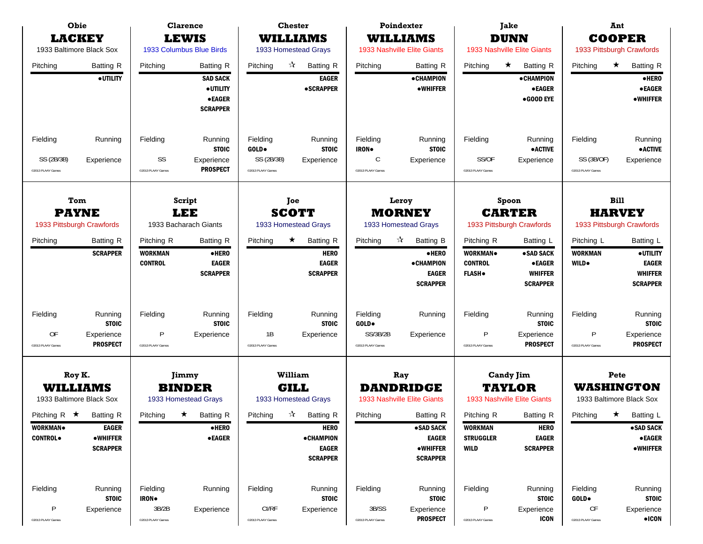| Obie<br><b>LACKEY</b><br>1933 Baltimore Black Sox                                                                      | <b>Clarence</b><br><b>LEWIS</b><br>1933 Columbus Blue Birds                                                    | <b>Chester</b><br>WILLIAMS<br>1933 Homestead Grays                                                          | Poindexter<br><b>WILLIAMS</b><br>1933 Nashville Elite Giants                                                   | <b>Jake</b><br><b>DUNN</b><br>1933 Nashville Elite Giants                                                                                         | Ant<br><b>COOPER</b><br>1933 Pittsburgh Crawfords                                                                                                                             |  |
|------------------------------------------------------------------------------------------------------------------------|----------------------------------------------------------------------------------------------------------------|-------------------------------------------------------------------------------------------------------------|----------------------------------------------------------------------------------------------------------------|---------------------------------------------------------------------------------------------------------------------------------------------------|-------------------------------------------------------------------------------------------------------------------------------------------------------------------------------|--|
| Pitching<br><b>Batting R</b><br>· UTILITY                                                                              | Pitching<br>Batting R<br><b>SAD SACK</b><br>· UTILITY<br><b>• EAGER</b><br><b>SCRAPPER</b>                     | $\vec{\lambda}$<br><b>Batting R</b><br>Pitching<br><b>EAGER</b><br><b>•SCRAPPER</b>                         | <b>Batting R</b><br>Pitching<br>• CHAMPION<br>$\bullet$ WHIFFER                                                | $\star$<br><b>Batting R</b><br>Pitching<br><b>• CHAMPION</b><br><b>•EAGER</b><br>• GOOD EYE                                                       | Pitching<br>$\star$<br><b>Batting R</b><br>·HERO<br><b>•EAGER</b><br>• WHIFFER                                                                                                |  |
| Fielding<br>Running<br>SS (2B/3B)<br>Experience<br>@2013 PLAAY Games                                                   | Fielding<br>Running<br><b>STOIC</b><br>SS<br>Experience<br><b>PROSPECT</b><br>@2013 PLAAY Games                | Fielding<br>Running<br><b>STOIC</b><br>GOLD.<br>SS (2B/3B)<br>Experience<br>@2013 PLAAY Games               | Fielding<br>Running<br><b>STOIC</b><br>IRON.<br>C<br>Experience<br>@2013 PLAAY Games                           | Fielding<br>Running<br><b>•ACTIVE</b><br>SS/OF<br>Experience<br>@2013 PLAAY Games                                                                 | Fielding<br>Running<br><b>•ACTIVE</b><br>SS (3B/OF)<br>Experience<br>@2013 PLAAY Games                                                                                        |  |
| Tom<br>Script<br><b>PAYNE</b><br><b>LEE</b><br>1933 Pittsburgh Crawfords<br>1933 Bacharach Giants                      |                                                                                                                | Joe<br><b>SCOTT</b><br>1933 Homestead Grays                                                                 | Leroy<br><b>MORNEY</b><br>1933 Homestead Grays                                                                 | Spoon<br><b>CARTER</b><br>1933 Pittsburgh Crawfords                                                                                               | <b>Bill</b><br><b>HARVEY</b><br>1933 Pittsburgh Crawfords<br>Pitching L<br><b>Batting L</b><br><b>WORKMAN</b><br>· UTILITY<br><b>EAGER</b><br><b>WILD</b> .<br><b>WHIFFER</b> |  |
| Pitching<br><b>Batting R</b><br><b>SCRAPPER</b>                                                                        | Pitching R<br><b>Batting R</b><br><b>WORKMAN</b><br>·HERO<br><b>EAGER</b><br><b>CONTROL</b><br><b>SCRAPPER</b> | $\star$<br><b>Batting R</b><br>Pitching<br><b>HERO</b><br><b>EAGER</b><br><b>SCRAPPER</b>                   | $\frac{1}{\sqrt{2}}$<br><b>Batting B</b><br>Pitching<br>•HERO<br>• CHAMPION<br><b>EAGER</b><br><b>SCRAPPER</b> | Pitching R<br>Batting L<br><b>WORKMAN</b><br>•SAD SACK<br><b>CONTROL</b><br><b>• EAGER</b><br><b>WHIFFER</b><br><b>FLASH</b> .<br><b>SCRAPPER</b> | <b>SCRAPPER</b>                                                                                                                                                               |  |
| Fielding<br>Running<br><b>STOIC</b><br>OF<br>Experience<br><b>PROSPECT</b><br>@2013 PLAAY Games                        | Fielding<br>Running<br><b>STOIC</b><br>P<br>Experience<br>@2013 PLAAY Games                                    | Fielding<br>Running<br><b>STOIC</b><br>1B<br>Experience<br>@2013 PLAAY Games                                | Fielding<br>Running<br>GOLD.<br>SS/3B/2B<br>Experience<br>@2013 PLAAY Games                                    | Fielding<br>Running<br><b>STOIC</b><br>P<br>Experience<br><b>PROSPECT</b><br>@2013 PLAAY Games                                                    | Fielding<br>Running<br><b>STOIC</b><br>P<br>Experience<br><b>PROSPECT</b><br>@2013 PLAAY Games                                                                                |  |
| Roy K.<br><b>WILLIAMS</b><br>1933 Baltimore Black Sox                                                                  | Jimmy<br><b>BINDER</b><br>1933 Homestead Grays                                                                 | William<br><b>GILL</b><br>1933 Homestead Grays                                                              | Ray<br><b>DANDRIDGE</b><br>1933 Nashville Elite Giants                                                         | <b>Candy Jim</b><br><b>TAYLOR</b><br>1933 Nashville Elite Giants                                                                                  | Pete<br>WASHINGTON<br>1933 Baltimore Black Sox                                                                                                                                |  |
| Pitching R $\star$ Batting R<br><b>WORKMAN</b><br><b>EAGER</b><br><b>CONTROL</b><br><b>•WHIFFER</b><br><b>SCRAPPER</b> | Pitching ★ Batting R<br><b>•HERO</b><br><b>• EAGER</b>                                                         | Pitching $\mathbb{\hat{X}}$ Batting R<br><b>HERO</b><br><b>•CHAMPION</b><br><b>EAGER</b><br><b>SCRAPPER</b> | Pitching<br><b>Batting R</b><br>• SAD SACK<br><b>EAGER</b><br><b>•WHIFFER</b><br><b>SCRAPPER</b>               | Pitching R<br>Batting R<br><b>WORKMAN</b><br><b>HERO</b><br><b>STRUGGLER</b><br><b>EAGER</b><br><b>WILD</b><br><b>SCRAPPER</b>                    | Pitching ★ Batting L<br>·SAD SACK<br><b>•EAGER</b><br><b>•WHIFFER</b>                                                                                                         |  |
| Fielding<br>Running<br><b>STOIC</b><br>P<br>Experience<br>@2013 PLAAY Games                                            | Fielding<br>Running<br><b>IRON</b><br>3B/2B<br>Experience<br><sup>©</sup> 2013 PLAAY Games                     | Fielding<br>Running<br><b>STOIC</b><br>CI/RF<br>Experience<br>@2013 PLAAY Games                             | Fielding<br>Running<br><b>STOIC</b><br>3B/SS<br>Experience<br><b>PROSPECT</b><br>@2013 PLAAY Games             | Fielding<br>Running<br><b>STOIC</b><br>P<br>Experience<br><b>ICON</b><br>@2013 PLAAY Games                                                        | Fielding<br>Running<br>GOLD.<br><b>STOIC</b><br>CF<br>Experience<br>$\bullet$ ICON<br>@2013 PLAAY Games                                                                       |  |